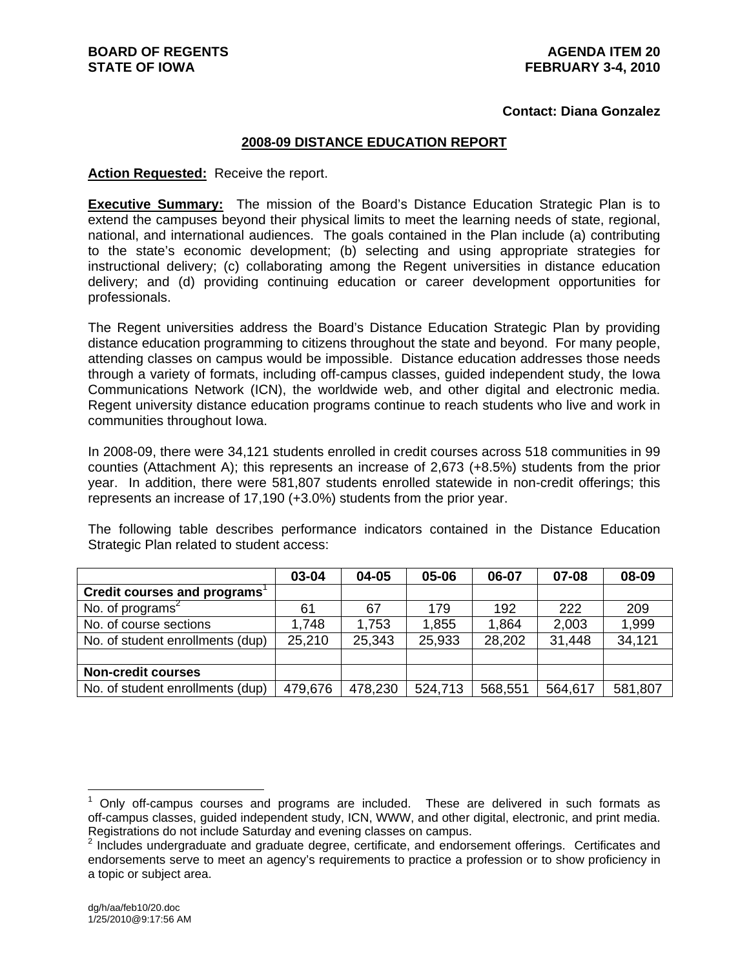#### **Contact: Diana Gonzalez**

#### **2008-09 DISTANCE EDUCATION REPORT**

#### **Action Requested:** Receive the report.

**Executive Summary:** The mission of the Board's Distance Education Strategic Plan is to extend the campuses beyond their physical limits to meet the learning needs of state, regional, national, and international audiences. The goals contained in the Plan include (a) contributing to the state's economic development; (b) selecting and using appropriate strategies for instructional delivery; (c) collaborating among the Regent universities in distance education delivery; and (d) providing continuing education or career development opportunities for professionals.

The Regent universities address the Board's Distance Education Strategic Plan by providing distance education programming to citizens throughout the state and beyond. For many people, attending classes on campus would be impossible. Distance education addresses those needs through a variety of formats, including off-campus classes, guided independent study, the Iowa Communications Network (ICN), the worldwide web, and other digital and electronic media. Regent university distance education programs continue to reach students who live and work in communities throughout Iowa.

In 2008-09, there were 34,121 students enrolled in credit courses across 518 communities in 99 counties (Attachment A); this represents an increase of 2,673 (+8.5%) students from the prior year. In addition, there were 581,807 students enrolled statewide in non-credit offerings; this represents an increase of 17,190 (+3.0%) students from the prior year.

The following table describes performance indicators contained in the Distance Education Strategic Plan related to student access:

|                                  | 03-04   | 04-05   | 05-06   | 06-07   | 07-08   | 08-09   |
|----------------------------------|---------|---------|---------|---------|---------|---------|
| Credit courses and programs      |         |         |         |         |         |         |
| No. of programs <sup>2</sup>     | 61      | 67      | 179     | 192     | 222     | 209     |
| No. of course sections           | 1,748   | 1,753   | 1,855   | 1,864   | 2,003   | 1,999   |
| No. of student enrollments (dup) | 25,210  | 25,343  | 25,933  | 28,202  | 31,448  | 34,121  |
|                                  |         |         |         |         |         |         |
| <b>Non-credit courses</b>        |         |         |         |         |         |         |
| No. of student enrollments (dup) | 479,676 | 478,230 | 524,713 | 568,551 | 564,617 | 581,807 |

 $\overline{a}$ 

 $1$  Only off-campus courses and programs are included. These are delivered in such formats as off-campus classes, guided independent study, ICN, WWW, and other digital, electronic, and print media. Registrations do not include Saturday and evening classes on campus.

 $2$  Includes undergraduate and graduate degree, certificate, and endorsement offerings. Certificates and endorsements serve to meet an agency's requirements to practice a profession or to show proficiency in a topic or subject area.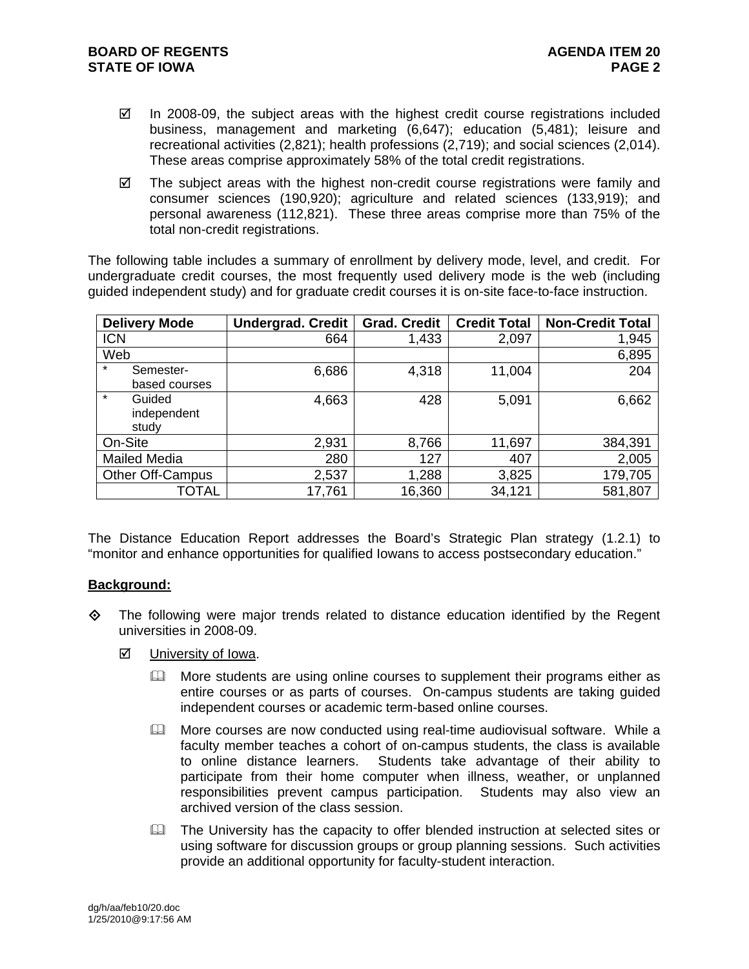- $\boxtimes$  In 2008-09, the subject areas with the highest credit course registrations included business, management and marketing (6,647); education (5,481); leisure and recreational activities (2,821); health professions (2,719); and social sciences (2,014). These areas comprise approximately 58% of the total credit registrations.
- $\boxtimes$  The subject areas with the highest non-credit course registrations were family and consumer sciences (190,920); agriculture and related sciences (133,919); and personal awareness (112,821). These three areas comprise more than 75% of the total non-credit registrations.

The following table includes a summary of enrollment by delivery mode, level, and credit. For undergraduate credit courses, the most frequently used delivery mode is the web (including guided independent study) and for graduate credit courses it is on-site face-to-face instruction.

| <b>Delivery Mode</b>    | <b>Undergrad. Credit</b> | <b>Grad. Credit</b> | <b>Credit Total</b> | <b>Non-Credit Total</b> |
|-------------------------|--------------------------|---------------------|---------------------|-------------------------|
| <b>ICN</b>              | 664                      | 1,433               | 2,097               | 1,945                   |
| Web                     |                          |                     |                     | 6,895                   |
| $\star$<br>Semester-    | 6,686                    | 4,318               | 11,004              | 204                     |
| based courses           |                          |                     |                     |                         |
| $\star$<br>Guided       | 4,663                    | 428                 | 5,091               | 6,662                   |
| independent             |                          |                     |                     |                         |
| study                   |                          |                     |                     |                         |
| On-Site                 | 2,931                    | 8,766               | 11,697              | 384,391                 |
| <b>Mailed Media</b>     | 280                      | 127                 | 407                 | 2,005                   |
| <b>Other Off-Campus</b> | 2,537                    | 1,288               | 3,825               | 179,705                 |
| TOTAL                   | 17,761                   | 16,360              | 34,121              | 581,807                 |

The Distance Education Report addresses the Board's Strategic Plan strategy (1.2.1) to "monitor and enhance opportunities for qualified Iowans to access postsecondary education."

#### **Background:**

- $\Diamond$  The following were major trends related to distance education identified by the Regent universities in 2008-09.
	- $\boxtimes$  University of Iowa.
		- $\Box$  More students are using online courses to supplement their programs either as entire courses or as parts of courses. On-campus students are taking guided independent courses or academic term-based online courses.
		- **Example 20** More courses are now conducted using real-time audiovisual software. While a faculty member teaches a cohort of on-campus students, the class is available to online distance learners. Students take advantage of their ability to participate from their home computer when illness, weather, or unplanned responsibilities prevent campus participation. Students may also view an archived version of the class session.
		- $\Box$  The University has the capacity to offer blended instruction at selected sites or using software for discussion groups or group planning sessions. Such activities provide an additional opportunity for faculty-student interaction.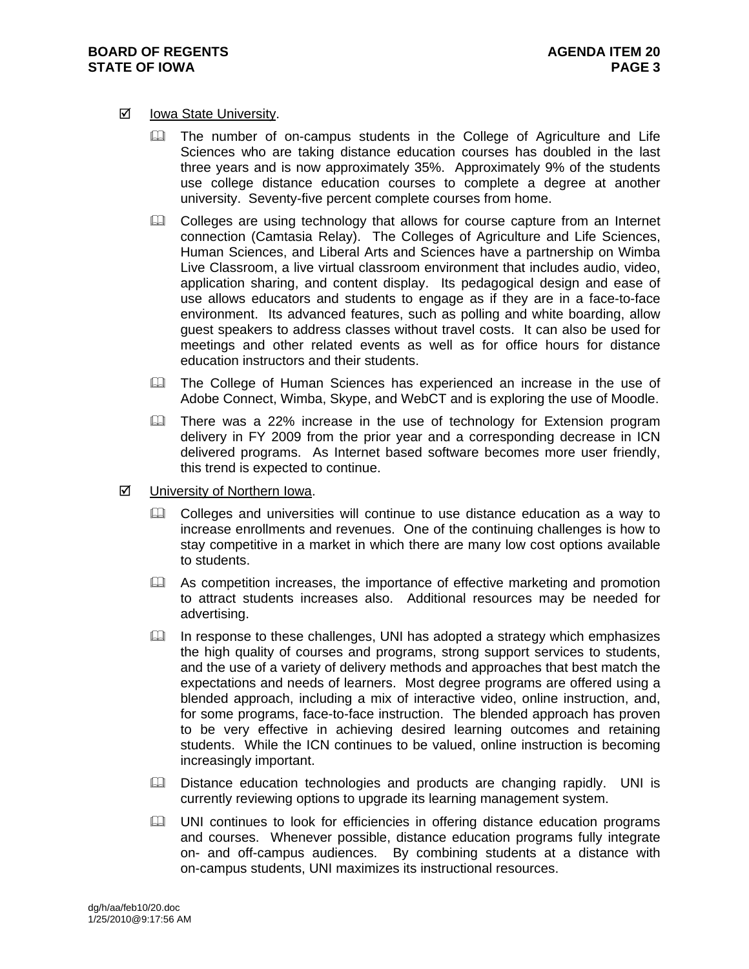#### **Ø** Iowa State University.

- **The number of on-campus students in the College of Agriculture and Life** Sciences who are taking distance education courses has doubled in the last three years and is now approximately 35%. Approximately 9% of the students use college distance education courses to complete a degree at another university. Seventy-five percent complete courses from home.
- Colleges are using technology that allows for course capture from an Internet connection (Camtasia Relay). The Colleges of Agriculture and Life Sciences, Human Sciences, and Liberal Arts and Sciences have a partnership on Wimba Live Classroom, a live virtual classroom environment that includes audio, video, application sharing, and content display. Its pedagogical design and ease of use allows educators and students to engage as if they are in a face-to-face environment. Its advanced features, such as polling and white boarding, allow guest speakers to address classes without travel costs. It can also be used for meetings and other related events as well as for office hours for distance education instructors and their students.
- **Example 20 The College of Human Sciences has experienced an increase in the use of** Adobe Connect, Wimba, Skype, and WebCT and is exploring the use of Moodle.
- $\Box$  There was a 22% increase in the use of technology for Extension program delivery in FY 2009 from the prior year and a corresponding decrease in ICN delivered programs. As Internet based software becomes more user friendly, this trend is expected to continue.
- University of Northern Iowa.
	- Colleges and universities will continue to use distance education as a way to increase enrollments and revenues. One of the continuing challenges is how to stay competitive in a market in which there are many low cost options available to students.
	- As competition increases, the importance of effective marketing and promotion to attract students increases also. Additional resources may be needed for advertising.
	- $\Box$  In response to these challenges, UNI has adopted a strategy which emphasizes the high quality of courses and programs, strong support services to students, and the use of a variety of delivery methods and approaches that best match the expectations and needs of learners. Most degree programs are offered using a blended approach, including a mix of interactive video, online instruction, and, for some programs, face-to-face instruction. The blended approach has proven to be very effective in achieving desired learning outcomes and retaining students. While the ICN continues to be valued, online instruction is becoming increasingly important.
	- **E. Distance education technologies and products are changing rapidly. UNI is** currently reviewing options to upgrade its learning management system.
	- **Example 10 UNI continues to look for efficiencies in offering distance education programs** and courses. Whenever possible, distance education programs fully integrate on- and off-campus audiences. By combining students at a distance with on-campus students, UNI maximizes its instructional resources.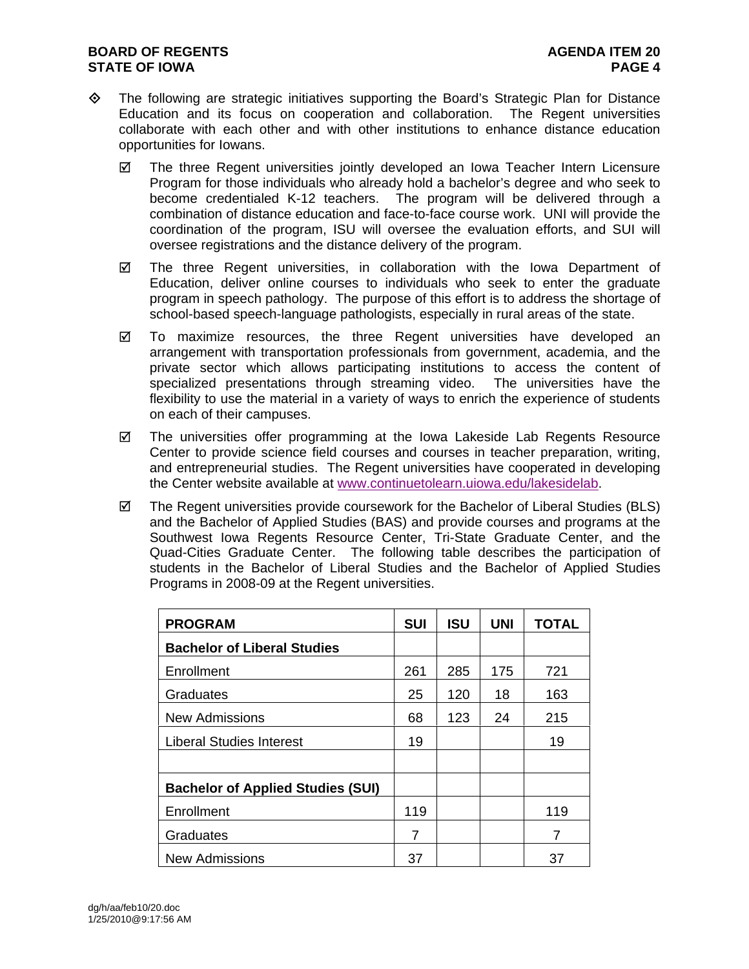- $\diamond$  The following are strategic initiatives supporting the Board's Strategic Plan for Distance Education and its focus on cooperation and collaboration. The Regent universities collaborate with each other and with other institutions to enhance distance education opportunities for Iowans.
	- $\boxtimes$  The three Regent universities jointly developed an Iowa Teacher Intern Licensure Program for those individuals who already hold a bachelor's degree and who seek to become credentialed K-12 teachers. The program will be delivered through a combination of distance education and face-to-face course work. UNI will provide the coordination of the program, ISU will oversee the evaluation efforts, and SUI will oversee registrations and the distance delivery of the program.
	- $\boxtimes$  The three Regent universities, in collaboration with the Iowa Department of Education, deliver online courses to individuals who seek to enter the graduate program in speech pathology. The purpose of this effort is to address the shortage of school-based speech-language pathologists, especially in rural areas of the state.
	- $\boxtimes$  To maximize resources, the three Regent universities have developed an arrangement with transportation professionals from government, academia, and the private sector which allows participating institutions to access the content of specialized presentations through streaming video. The universities have the flexibility to use the material in a variety of ways to enrich the experience of students on each of their campuses.
	- $\boxtimes$  The universities offer programming at the Iowa Lakeside Lab Regents Resource Center to provide science field courses and courses in teacher preparation, writing, and entrepreneurial studies. The Regent universities have cooperated in developing the Center website available at www.continuetolearn.uiowa.edu/lakesidelab.
	- $\boxtimes$  The Regent universities provide coursework for the Bachelor of Liberal Studies (BLS) and the Bachelor of Applied Studies (BAS) and provide courses and programs at the Southwest Iowa Regents Resource Center, Tri-State Graduate Center, and the Quad-Cities Graduate Center. The following table describes the participation of students in the Bachelor of Liberal Studies and the Bachelor of Applied Studies Programs in 2008-09 at the Regent universities.

| <b>PROGRAM</b>                           | <b>SUI</b> | <b>ISU</b> | <b>UNI</b> | <b>TOTAL</b> |
|------------------------------------------|------------|------------|------------|--------------|
| <b>Bachelor of Liberal Studies</b>       |            |            |            |              |
| Enrollment                               | 261        | 285        | 175        | 721          |
| Graduates                                | 25         | 120        | 18         | 163          |
| <b>New Admissions</b>                    | 68         | 123        | 24         | 215          |
| <b>Liberal Studies Interest</b>          | 19         |            |            | 19           |
|                                          |            |            |            |              |
| <b>Bachelor of Applied Studies (SUI)</b> |            |            |            |              |
| Enrollment                               | 119        |            |            | 119          |
| Graduates                                | 7          |            |            | 7            |
| <b>New Admissions</b>                    | 37         |            |            | 37           |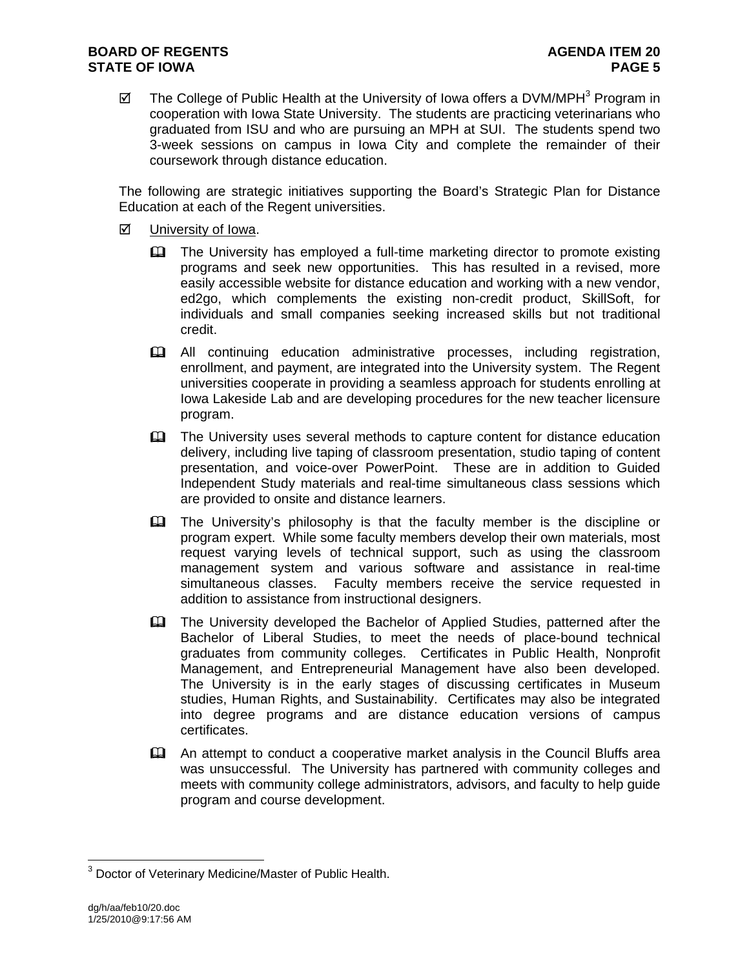$\boxtimes$  The College of Public Health at the University of Iowa offers a DVM/MPH<sup>3</sup> Program in cooperation with Iowa State University. The students are practicing veterinarians who graduated from ISU and who are pursuing an MPH at SUI. The students spend two 3-week sessions on campus in Iowa City and complete the remainder of their coursework through distance education.

The following are strategic initiatives supporting the Board's Strategic Plan for Distance Education at each of the Regent universities.

- $\boxtimes$  University of Iowa.
	- The University has employed a full-time marketing director to promote existing programs and seek new opportunities. This has resulted in a revised, more easily accessible website for distance education and working with a new vendor, ed2go, which complements the existing non-credit product, SkillSoft, for individuals and small companies seeking increased skills but not traditional credit.
	- All continuing education administrative processes, including registration, enrollment, and payment, are integrated into the University system. The Regent universities cooperate in providing a seamless approach for students enrolling at Iowa Lakeside Lab and are developing procedures for the new teacher licensure program.
	- The University uses several methods to capture content for distance education delivery, including live taping of classroom presentation, studio taping of content presentation, and voice-over PowerPoint. These are in addition to Guided Independent Study materials and real-time simultaneous class sessions which are provided to onsite and distance learners.
	- The University's philosophy is that the faculty member is the discipline or program expert. While some faculty members develop their own materials, most request varying levels of technical support, such as using the classroom management system and various software and assistance in real-time simultaneous classes. Faculty members receive the service requested in addition to assistance from instructional designers.
	- The University developed the Bachelor of Applied Studies, patterned after the Bachelor of Liberal Studies, to meet the needs of place-bound technical graduates from community colleges. Certificates in Public Health, Nonprofit Management, and Entrepreneurial Management have also been developed. The University is in the early stages of discussing certificates in Museum studies, Human Rights, and Sustainability. Certificates may also be integrated into degree programs and are distance education versions of campus certificates.
	- An attempt to conduct a cooperative market analysis in the Council Bluffs area was unsuccessful. The University has partnered with community colleges and meets with community college administrators, advisors, and faculty to help guide program and course development.

 $\overline{a}$ 

<sup>&</sup>lt;sup>3</sup> Doctor of Veterinary Medicine/Master of Public Health.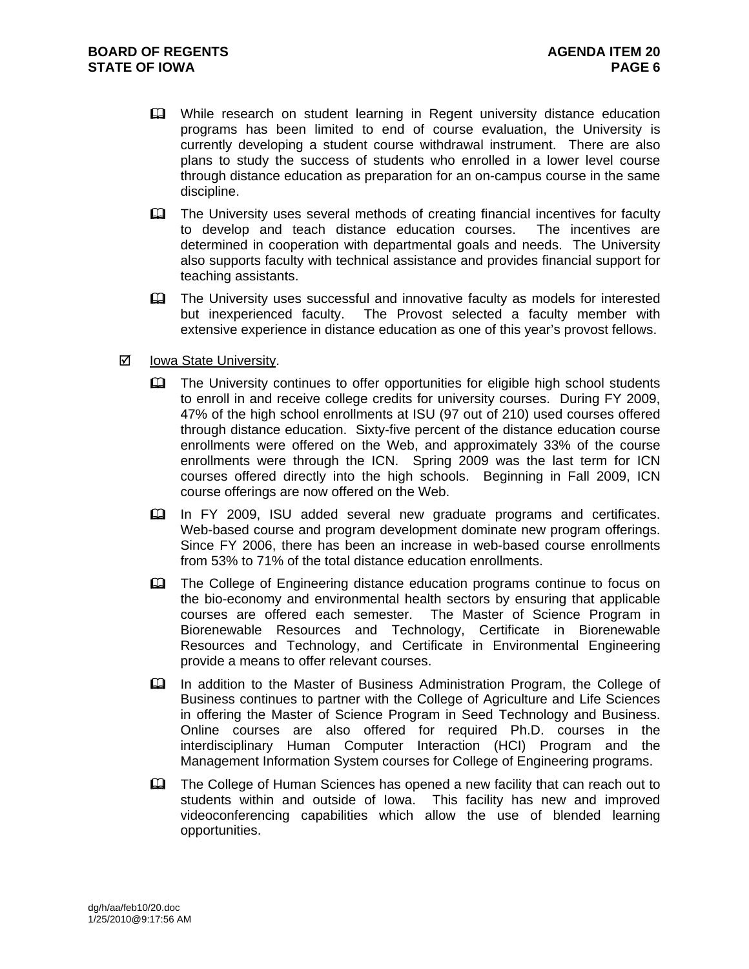- **EQ** While research on student learning in Regent university distance education programs has been limited to end of course evaluation, the University is currently developing a student course withdrawal instrument. There are also plans to study the success of students who enrolled in a lower level course through distance education as preparation for an on-campus course in the same discipline.
- **Example 1** The University uses several methods of creating financial incentives for faculty to develop and teach distance education courses. The incentives are determined in cooperation with departmental goals and needs. The University also supports faculty with technical assistance and provides financial support for teaching assistants.
- **Example 1** The University uses successful and innovative faculty as models for interested but inexperienced faculty. The Provost selected a faculty member with extensive experience in distance education as one of this year's provost fellows.
- **Ø** Iowa State University.
	- The University continues to offer opportunities for eligible high school students to enroll in and receive college credits for university courses. During FY 2009, 47% of the high school enrollments at ISU (97 out of 210) used courses offered through distance education. Sixty-five percent of the distance education course enrollments were offered on the Web, and approximately 33% of the course enrollments were through the ICN. Spring 2009 was the last term for ICN courses offered directly into the high schools. Beginning in Fall 2009, ICN course offerings are now offered on the Web.
	- In FY 2009, ISU added several new graduate programs and certificates. Web-based course and program development dominate new program offerings. Since FY 2006, there has been an increase in web-based course enrollments from 53% to 71% of the total distance education enrollments.
	- The College of Engineering distance education programs continue to focus on the bio-economy and environmental health sectors by ensuring that applicable courses are offered each semester. The Master of Science Program in Biorenewable Resources and Technology, Certificate in Biorenewable Resources and Technology, and Certificate in Environmental Engineering provide a means to offer relevant courses.
	- In addition to the Master of Business Administration Program, the College of Business continues to partner with the College of Agriculture and Life Sciences in offering the Master of Science Program in Seed Technology and Business. Online courses are also offered for required Ph.D. courses in the interdisciplinary Human Computer Interaction (HCI) Program and the Management Information System courses for College of Engineering programs.
	- The College of Human Sciences has opened a new facility that can reach out to students within and outside of Iowa. This facility has new and improved videoconferencing capabilities which allow the use of blended learning opportunities.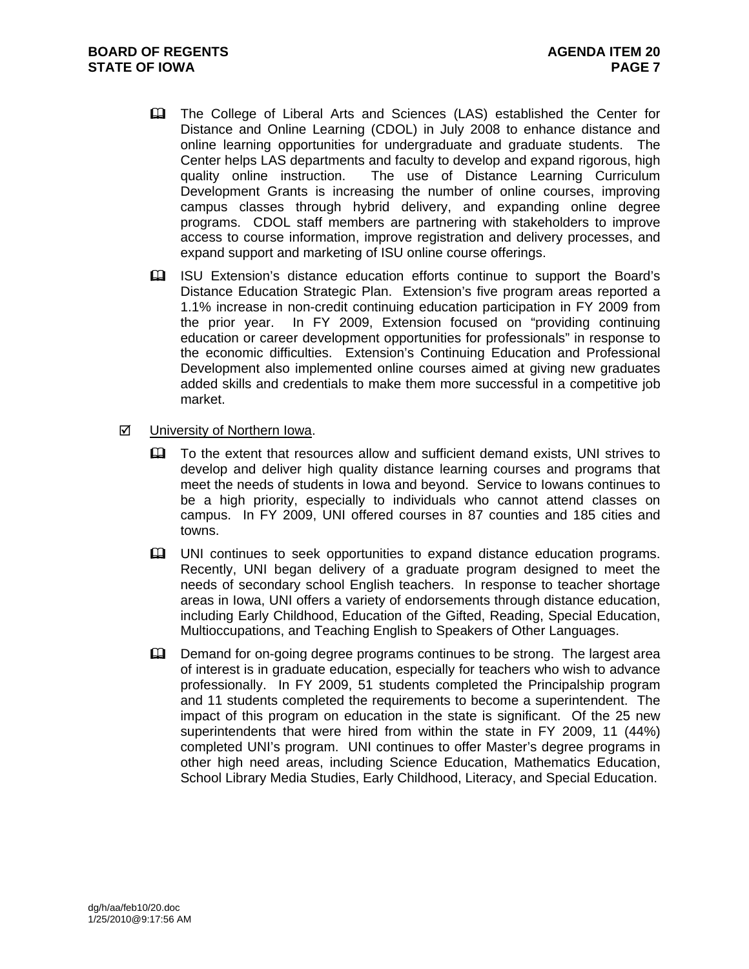- The College of Liberal Arts and Sciences (LAS) established the Center for Distance and Online Learning (CDOL) in July 2008 to enhance distance and online learning opportunities for undergraduate and graduate students. The Center helps LAS departments and faculty to develop and expand rigorous, high quality online instruction. The use of Distance Learning Curriculum Development Grants is increasing the number of online courses, improving campus classes through hybrid delivery, and expanding online degree programs. CDOL staff members are partnering with stakeholders to improve access to course information, improve registration and delivery processes, and expand support and marketing of ISU online course offerings.
- ISU Extension's distance education efforts continue to support the Board's Distance Education Strategic Plan. Extension's five program areas reported a 1.1% increase in non-credit continuing education participation in FY 2009 from the prior year. In FY 2009, Extension focused on "providing continuing education or career development opportunities for professionals" in response to the economic difficulties. Extension's Continuing Education and Professional Development also implemented online courses aimed at giving new graduates added skills and credentials to make them more successful in a competitive job market.
- $\boxtimes$  University of Northern Iowa.
	- To the extent that resources allow and sufficient demand exists, UNI strives to develop and deliver high quality distance learning courses and programs that meet the needs of students in Iowa and beyond. Service to Iowans continues to be a high priority, especially to individuals who cannot attend classes on campus. In FY 2009, UNI offered courses in 87 counties and 185 cities and towns.
	- UNI continues to seek opportunities to expand distance education programs. Recently, UNI began delivery of a graduate program designed to meet the needs of secondary school English teachers. In response to teacher shortage areas in Iowa, UNI offers a variety of endorsements through distance education, including Early Childhood, Education of the Gifted, Reading, Special Education, Multioccupations, and Teaching English to Speakers of Other Languages.
	- Demand for on-going degree programs continues to be strong. The largest area of interest is in graduate education, especially for teachers who wish to advance professionally. In FY 2009, 51 students completed the Principalship program and 11 students completed the requirements to become a superintendent. The impact of this program on education in the state is significant. Of the 25 new superintendents that were hired from within the state in FY 2009, 11 (44%) completed UNI's program. UNI continues to offer Master's degree programs in other high need areas, including Science Education, Mathematics Education, School Library Media Studies, Early Childhood, Literacy, and Special Education.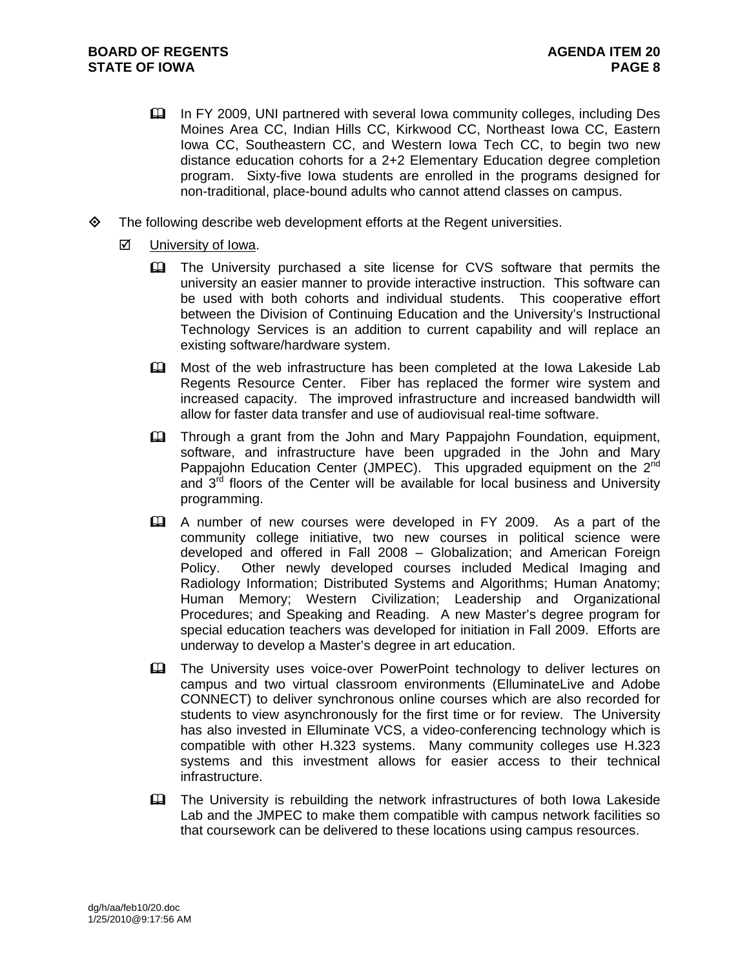- In FY 2009, UNI partnered with several Iowa community colleges, including Des Moines Area CC, Indian Hills CC, Kirkwood CC, Northeast Iowa CC, Eastern Iowa CC, Southeastern CC, and Western Iowa Tech CC, to begin two new distance education cohorts for a 2+2 Elementary Education degree completion program. Sixty-five Iowa students are enrolled in the programs designed for non-traditional, place-bound adults who cannot attend classes on campus.
- $\diamond$  The following describe web development efforts at the Regent universities.
	- $\boxtimes$  University of Iowa.
		- **Example 1** The University purchased a site license for CVS software that permits the university an easier manner to provide interactive instruction. This software can be used with both cohorts and individual students. This cooperative effort between the Division of Continuing Education and the University's Instructional Technology Services is an addition to current capability and will replace an existing software/hardware system.
		- Most of the web infrastructure has been completed at the Iowa Lakeside Lab Regents Resource Center. Fiber has replaced the former wire system and increased capacity. The improved infrastructure and increased bandwidth will allow for faster data transfer and use of audiovisual real-time software.
		- **Exager Through a grant from the John and Mary Pappajohn Foundation, equipment,** software, and infrastructure have been upgraded in the John and Mary Pappajohn Education Center (JMPEC). This upgraded equipment on the 2<sup>nd</sup> and  $3<sup>rd</sup>$  floors of the Center will be available for local business and University programming.
		- A number of new courses were developed in FY 2009. As a part of the community college initiative, two new courses in political science were developed and offered in Fall 2008 – Globalization; and American Foreign Policy. Other newly developed courses included Medical Imaging and Radiology Information; Distributed Systems and Algorithms; Human Anatomy; Human Memory; Western Civilization; Leadership and Organizational Procedures; and Speaking and Reading. A new Master's degree program for special education teachers was developed for initiation in Fall 2009. Efforts are underway to develop a Master's degree in art education.
		- **Et The University uses voice-over PowerPoint technology to deliver lectures on** campus and two virtual classroom environments (ElluminateLive and Adobe CONNECT) to deliver synchronous online courses which are also recorded for students to view asynchronously for the first time or for review. The University has also invested in Elluminate VCS, a video-conferencing technology which is compatible with other H.323 systems. Many community colleges use H.323 systems and this investment allows for easier access to their technical infrastructure.
		- The University is rebuilding the network infrastructures of both Iowa Lakeside Lab and the JMPEC to make them compatible with campus network facilities so that coursework can be delivered to these locations using campus resources.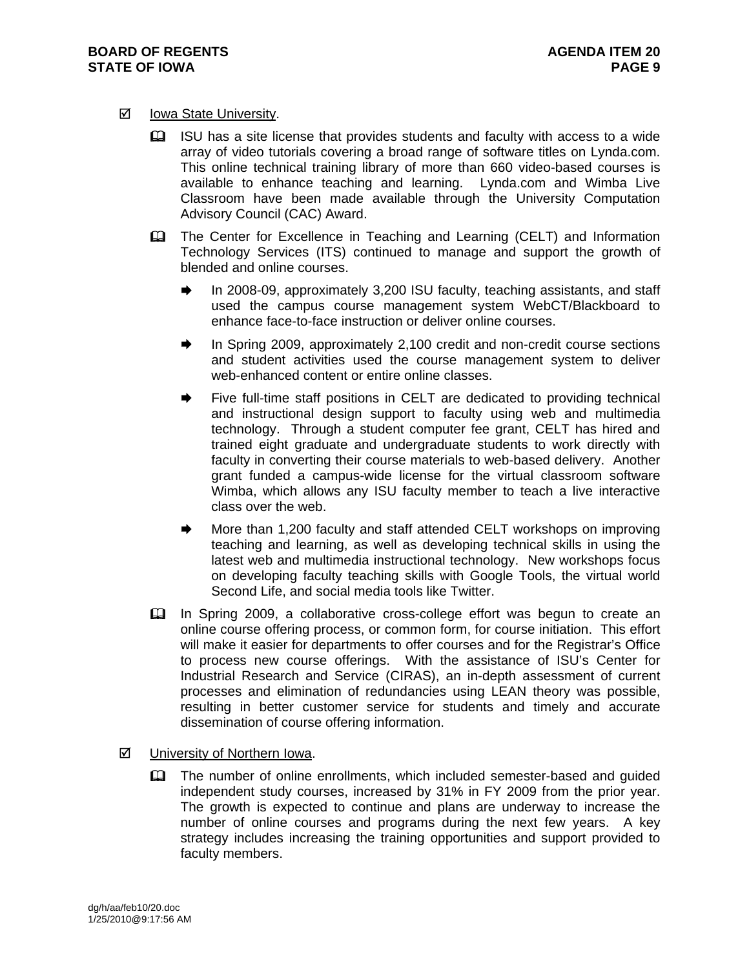#### **Ø** Iowa State University.

- ISU has a site license that provides students and faculty with access to a wide array of video tutorials covering a broad range of software titles on Lynda.com. This online technical training library of more than 660 video-based courses is available to enhance teaching and learning. Lynda.com and Wimba Live Classroom have been made available through the University Computation Advisory Council (CAC) Award.
- **EQ The Center for Excellence in Teaching and Learning (CELT) and Information** Technology Services (ITS) continued to manage and support the growth of blended and online courses.
	- In 2008-09, approximately 3,200 ISU faculty, teaching assistants, and staff used the campus course management system WebCT/Blackboard to enhance face-to-face instruction or deliver online courses.
	- In Spring 2009, approximately 2,100 credit and non-credit course sections and student activities used the course management system to deliver web-enhanced content or entire online classes.
	- Five full-time staff positions in CELT are dedicated to providing technical and instructional design support to faculty using web and multimedia technology. Through a student computer fee grant, CELT has hired and trained eight graduate and undergraduate students to work directly with faculty in converting their course materials to web-based delivery. Another grant funded a campus-wide license for the virtual classroom software Wimba, which allows any ISU faculty member to teach a live interactive class over the web.
	- More than 1,200 faculty and staff attended CELT workshops on improving teaching and learning, as well as developing technical skills in using the latest web and multimedia instructional technology. New workshops focus on developing faculty teaching skills with Google Tools, the virtual world Second Life, and social media tools like Twitter.
- In Spring 2009, a collaborative cross-college effort was begun to create an online course offering process, or common form, for course initiation. This effort will make it easier for departments to offer courses and for the Registrar's Office to process new course offerings. With the assistance of ISU's Center for Industrial Research and Service (CIRAS), an in-depth assessment of current processes and elimination of redundancies using LEAN theory was possible, resulting in better customer service for students and timely and accurate dissemination of course offering information.
- University of Northern Iowa.
	- The number of online enrollments, which included semester-based and guided independent study courses, increased by 31% in FY 2009 from the prior year. The growth is expected to continue and plans are underway to increase the number of online courses and programs during the next few years. A key strategy includes increasing the training opportunities and support provided to faculty members.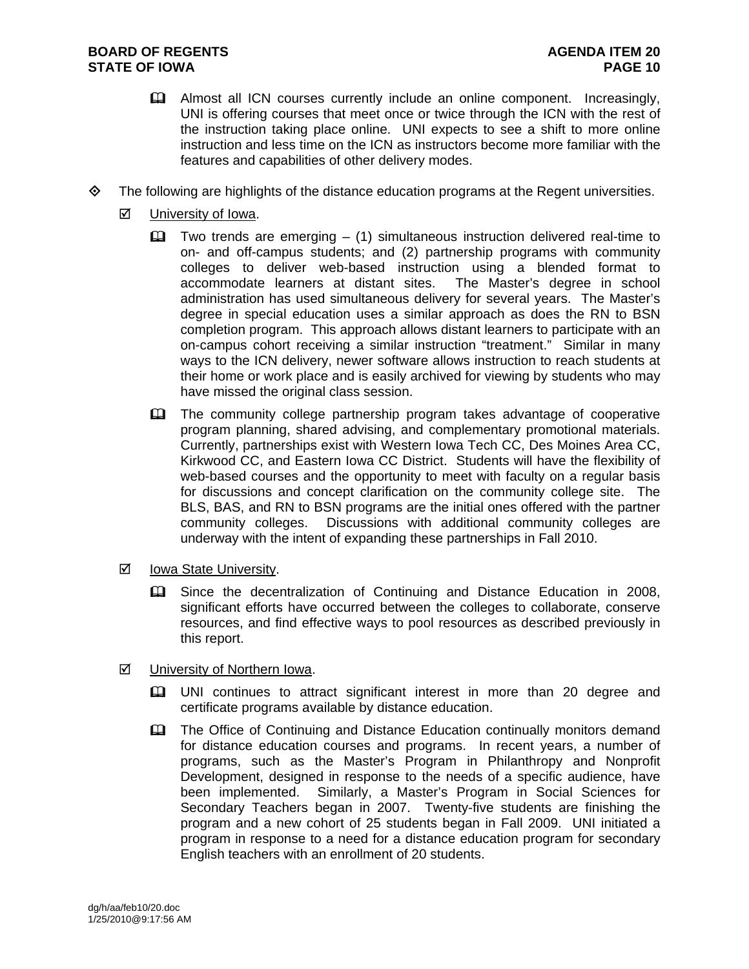- Almost all ICN courses currently include an online component. Increasingly, UNI is offering courses that meet once or twice through the ICN with the rest of the instruction taking place online. UNI expects to see a shift to more online instruction and less time on the ICN as instructors become more familiar with the features and capabilities of other delivery modes.
- $\diamond$  The following are highlights of the distance education programs at the Regent universities.
	- $\boxtimes$  University of Iowa.
		- $\Box$  Two trends are emerging (1) simultaneous instruction delivered real-time to on- and off-campus students; and (2) partnership programs with community colleges to deliver web-based instruction using a blended format to accommodate learners at distant sites. The Master's degree in school administration has used simultaneous delivery for several years. The Master's degree in special education uses a similar approach as does the RN to BSN completion program. This approach allows distant learners to participate with an on-campus cohort receiving a similar instruction "treatment." Similar in many ways to the ICN delivery, newer software allows instruction to reach students at their home or work place and is easily archived for viewing by students who may have missed the original class session.
		- **The community college partnership program takes advantage of cooperative** program planning, shared advising, and complementary promotional materials. Currently, partnerships exist with Western Iowa Tech CC, Des Moines Area CC, Kirkwood CC, and Eastern Iowa CC District. Students will have the flexibility of web-based courses and the opportunity to meet with faculty on a regular basis for discussions and concept clarification on the community college site. The BLS, BAS, and RN to BSN programs are the initial ones offered with the partner community colleges. Discussions with additional community colleges are underway with the intent of expanding these partnerships in Fall 2010.
	- Iowa State University.
		- Since the decentralization of Continuing and Distance Education in 2008, significant efforts have occurred between the colleges to collaborate, conserve resources, and find effective ways to pool resources as described previously in this report.
	- $\boxtimes$  University of Northern Iowa.
		- UNI continues to attract significant interest in more than 20 degree and certificate programs available by distance education.
		- **Example 21** The Office of Continuing and Distance Education continually monitors demand for distance education courses and programs. In recent years, a number of programs, such as the Master's Program in Philanthropy and Nonprofit Development, designed in response to the needs of a specific audience, have been implemented. Similarly, a Master's Program in Social Sciences for Secondary Teachers began in 2007. Twenty-five students are finishing the program and a new cohort of 25 students began in Fall 2009. UNI initiated a program in response to a need for a distance education program for secondary English teachers with an enrollment of 20 students.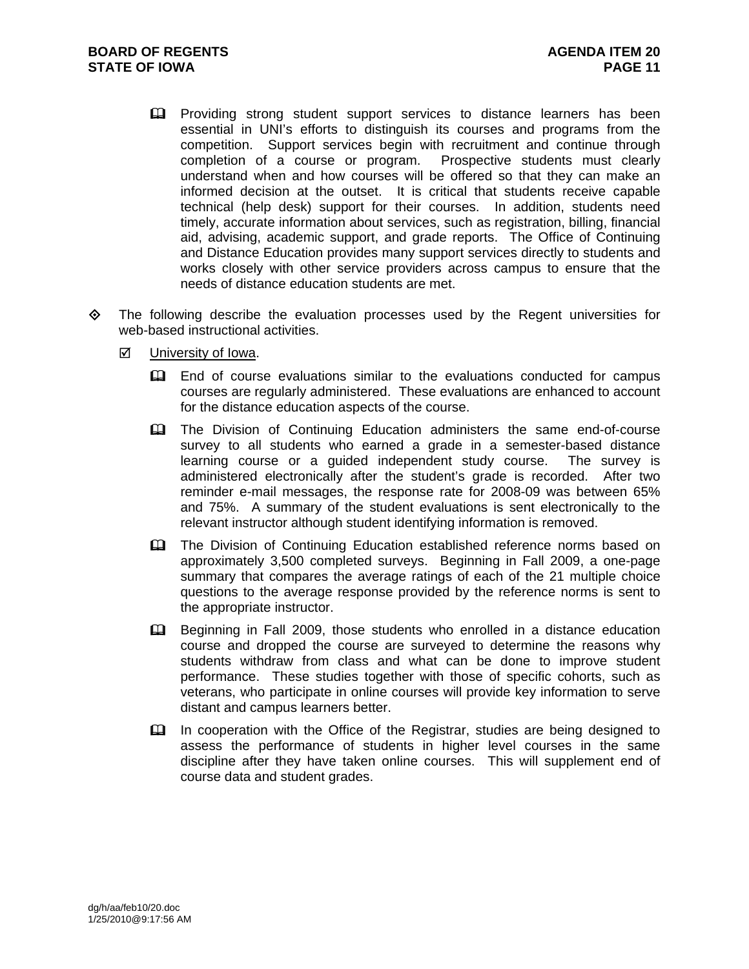- **Polar** Providing strong student support services to distance learners has been essential in UNI's efforts to distinguish its courses and programs from the competition. Support services begin with recruitment and continue through completion of a course or program. Prospective students must clearly understand when and how courses will be offered so that they can make an informed decision at the outset. It is critical that students receive capable technical (help desk) support for their courses. In addition, students need timely, accurate information about services, such as registration, billing, financial aid, advising, academic support, and grade reports. The Office of Continuing and Distance Education provides many support services directly to students and works closely with other service providers across campus to ensure that the needs of distance education students are met.
- $\Leftrightarrow$  The following describe the evaluation processes used by the Regent universities for web-based instructional activities.
	- $\boxtimes$  University of Iowa.
		- End of course evaluations similar to the evaluations conducted for campus courses are regularly administered. These evaluations are enhanced to account for the distance education aspects of the course.
		- The Division of Continuing Education administers the same end-of-course survey to all students who earned a grade in a semester-based distance learning course or a guided independent study course. The survey is administered electronically after the student's grade is recorded. After two reminder e-mail messages, the response rate for 2008-09 was between 65% and 75%. A summary of the student evaluations is sent electronically to the relevant instructor although student identifying information is removed.
		- **EQ The Division of Continuing Education established reference norms based on** approximately 3,500 completed surveys. Beginning in Fall 2009, a one-page summary that compares the average ratings of each of the 21 multiple choice questions to the average response provided by the reference norms is sent to the appropriate instructor.
		- EQ Beginning in Fall 2009, those students who enrolled in a distance education course and dropped the course are surveyed to determine the reasons why students withdraw from class and what can be done to improve student performance. These studies together with those of specific cohorts, such as veterans, who participate in online courses will provide key information to serve distant and campus learners better.
		- In cooperation with the Office of the Registrar, studies are being designed to assess the performance of students in higher level courses in the same discipline after they have taken online courses. This will supplement end of course data and student grades.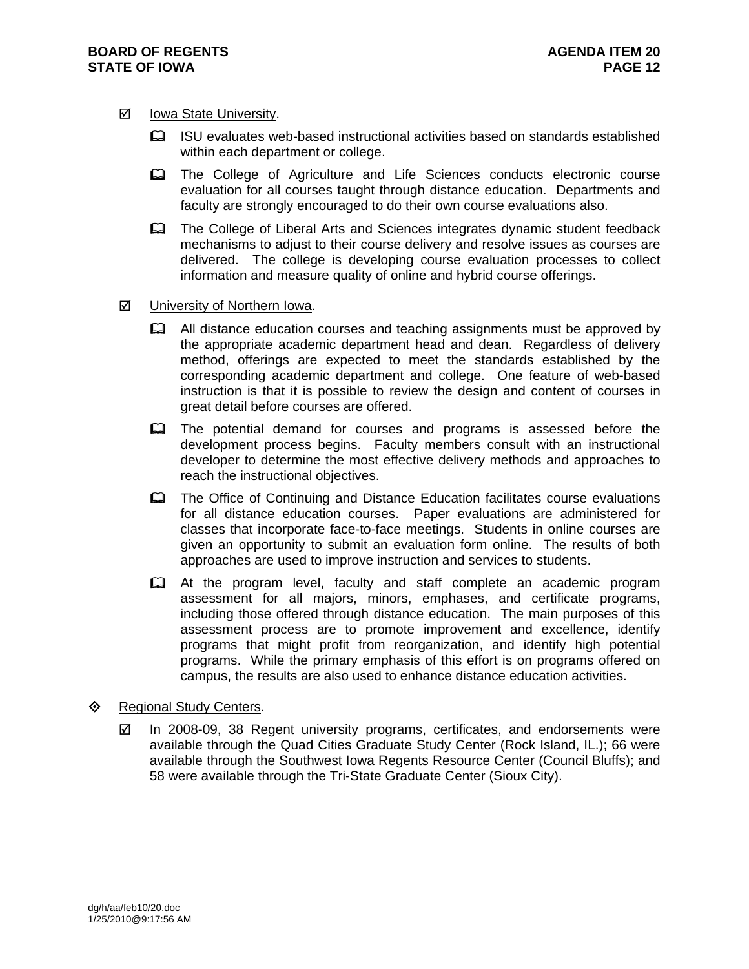#### **Ø** Iowa State University.

- ISU evaluates web-based instructional activities based on standards established within each department or college.
- The College of Agriculture and Life Sciences conducts electronic course evaluation for all courses taught through distance education. Departments and faculty are strongly encouraged to do their own course evaluations also.
- The College of Liberal Arts and Sciences integrates dynamic student feedback mechanisms to adjust to their course delivery and resolve issues as courses are delivered. The college is developing course evaluation processes to collect information and measure quality of online and hybrid course offerings.

#### ■ University of Northern Iowa.

- All distance education courses and teaching assignments must be approved by the appropriate academic department head and dean. Regardless of delivery method, offerings are expected to meet the standards established by the corresponding academic department and college. One feature of web-based instruction is that it is possible to review the design and content of courses in great detail before courses are offered.
- The potential demand for courses and programs is assessed before the development process begins. Faculty members consult with an instructional developer to determine the most effective delivery methods and approaches to reach the instructional objectives.
- **Example 20 The Office of Continuing and Distance Education facilitates course evaluations** for all distance education courses. Paper evaluations are administered for classes that incorporate face-to-face meetings. Students in online courses are given an opportunity to submit an evaluation form online. The results of both approaches are used to improve instruction and services to students.
- At the program level, faculty and staff complete an academic program assessment for all majors, minors, emphases, and certificate programs, including those offered through distance education. The main purposes of this assessment process are to promote improvement and excellence, identify programs that might profit from reorganization, and identify high potential programs. While the primary emphasis of this effort is on programs offered on campus, the results are also used to enhance distance education activities.

#### ♦ Regional Study Centers.

 $\boxtimes$  In 2008-09, 38 Regent university programs, certificates, and endorsements were available through the Quad Cities Graduate Study Center (Rock Island, IL.); 66 were available through the Southwest Iowa Regents Resource Center (Council Bluffs); and 58 were available through the Tri-State Graduate Center (Sioux City).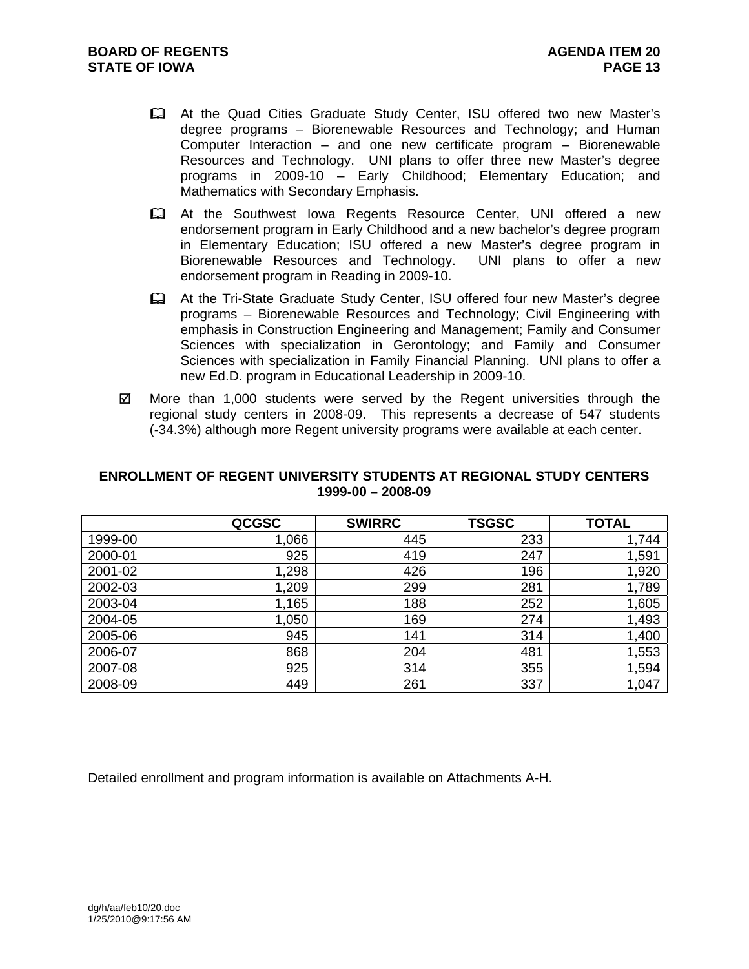- At the Quad Cities Graduate Study Center, ISU offered two new Master's degree programs – Biorenewable Resources and Technology; and Human Computer Interaction – and one new certificate program – Biorenewable Resources and Technology. UNI plans to offer three new Master's degree programs in 2009-10 – Early Childhood; Elementary Education; and Mathematics with Secondary Emphasis.
- At the Southwest Iowa Regents Resource Center, UNI offered a new endorsement program in Early Childhood and a new bachelor's degree program in Elementary Education; ISU offered a new Master's degree program in Biorenewable Resources and Technology. UNI plans to offer a new endorsement program in Reading in 2009-10.
- At the Tri-State Graduate Study Center, ISU offered four new Master's degree programs – Biorenewable Resources and Technology; Civil Engineering with emphasis in Construction Engineering and Management; Family and Consumer Sciences with specialization in Gerontology; and Family and Consumer Sciences with specialization in Family Financial Planning. UNI plans to offer a new Ed.D. program in Educational Leadership in 2009-10.
- $\boxtimes$  More than 1,000 students were served by the Regent universities through the regional study centers in 2008-09. This represents a decrease of 547 students (-34.3%) although more Regent university programs were available at each center.

#### **ENROLLMENT OF REGENT UNIVERSITY STUDENTS AT REGIONAL STUDY CENTERS 1999-00 – 2008-09**

|         | <b>QCGSC</b> | <b>SWIRRC</b> | <b>TSGSC</b> | <b>TOTAL</b> |
|---------|--------------|---------------|--------------|--------------|
| 1999-00 | 1,066        | 445           | 233          | 1,744        |
| 2000-01 | 925          | 419           | 247          | 1,591        |
| 2001-02 | 1,298        | 426           | 196          | 1,920        |
| 2002-03 | 1,209        | 299           | 281          | 1,789        |
| 2003-04 | 1,165        | 188           | 252          | 1,605        |
| 2004-05 | 1,050        | 169           | 274          | 1,493        |
| 2005-06 | 945          | 141           | 314          | 1,400        |
| 2006-07 | 868          | 204           | 481          | 1,553        |
| 2007-08 | 925          | 314           | 355          | 1,594        |
| 2008-09 | 449          | 261           | 337          | 1,047        |

Detailed enrollment and program information is available on Attachments A-H.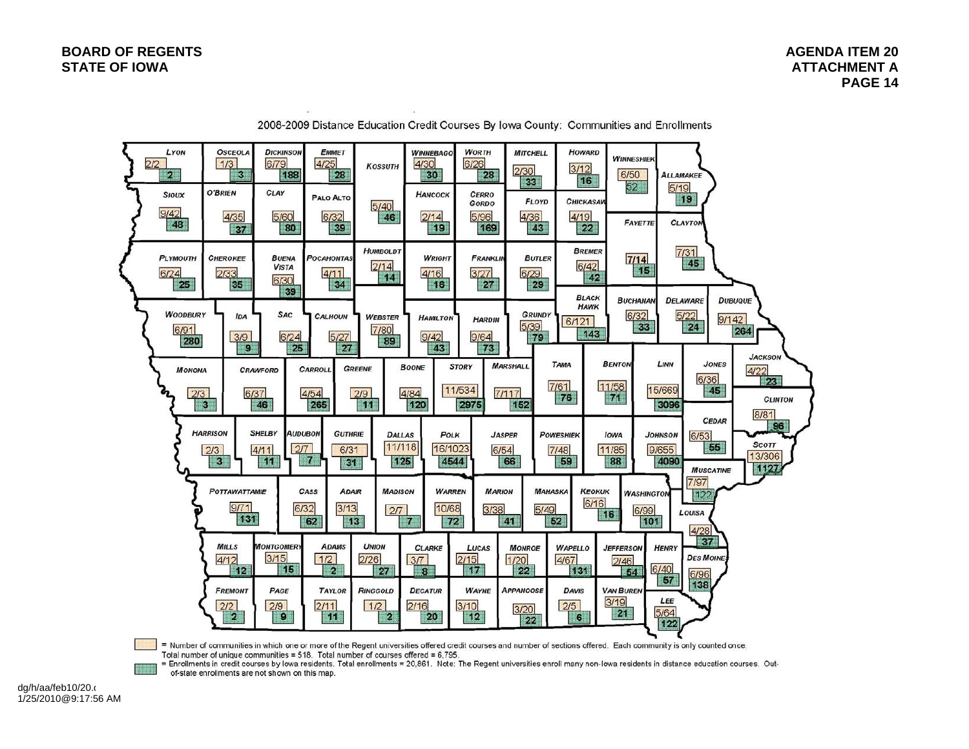

2008-2009 Distance Education Credit Courses By Iowa County: Communities and Enrollments

= Number of communities in which one or more of the Regent universities offered credit courses and number of sections offered. Each community is only counted once. Total number of unique communities = 518. Total number of courses offered = 6,795.

= Enrollments in credit courses by lowa residents. Total enrollments = 20,861. Note: The Regent universities enroll many non-lowa residents in distance education courses. Outof-state enrollments are not shown on this map.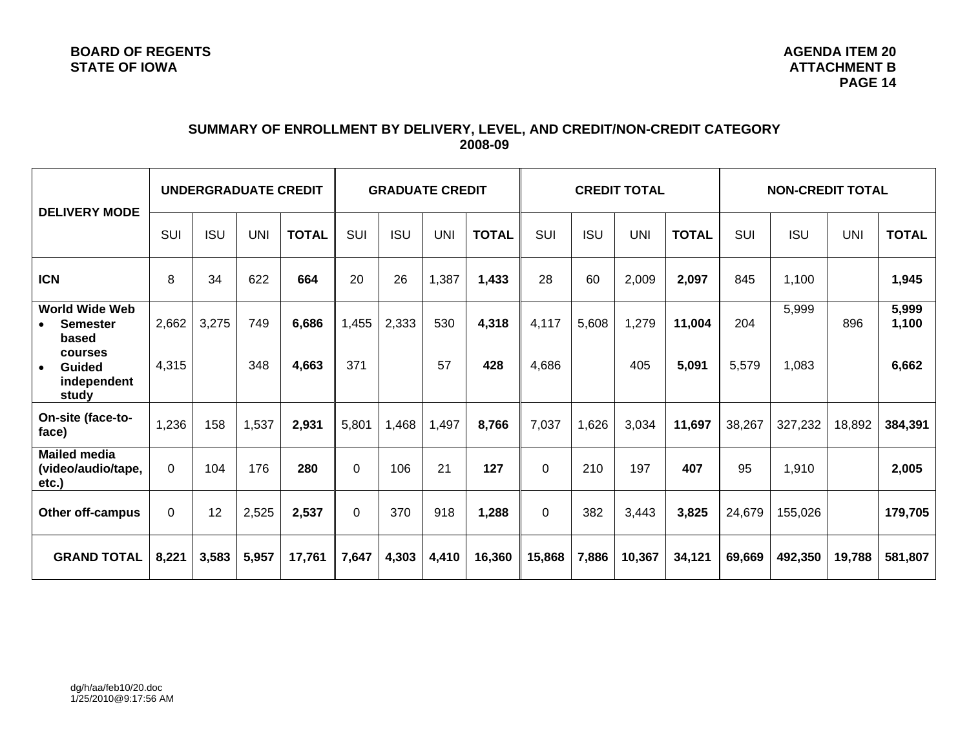# **SUMMARY OF ENROLLMENT BY DELIVERY, LEVEL, AND CREDIT/NON-CREDIT CATEGORY 2008-09**

| <b>DELIVERY MODE</b>                                   |          |            |            | UNDERGRADUATE CREDIT |            | <b>GRADUATE CREDIT</b> |            | <b>CREDIT TOTAL</b> |             |            | <b>NON-CREDIT TOTAL</b> |              |        |            |            |                |
|--------------------------------------------------------|----------|------------|------------|----------------------|------------|------------------------|------------|---------------------|-------------|------------|-------------------------|--------------|--------|------------|------------|----------------|
|                                                        | SUI      | <b>ISU</b> | <b>UNI</b> | <b>TOTAL</b>         | <b>SUI</b> | <b>ISU</b>             | <b>UNI</b> | <b>TOTAL</b>        | SUI         | <b>ISU</b> | <b>UNI</b>              | <b>TOTAL</b> | SUI    | <b>ISU</b> | <b>UNI</b> | <b>TOTAL</b>   |
| <b>ICN</b>                                             | 8        | 34         | 622        | 664                  | 20         | 26                     | 1,387      | 1,433               | 28          | 60         | 2,009                   | 2,097        | 845    | 1,100      |            | 1,945          |
| <b>World Wide Web</b><br><b>Semester</b><br>based      | 2,662    | 3,275      | 749        | 6,686                | 1,455      | 2,333                  | 530        | 4,318               | 4,117       | 5,608      | 1,279                   | 11,004       | 204    | 5,999      | 896        | 5,999<br>1,100 |
| courses<br>Guided<br>$\bullet$<br>independent<br>study | 4,315    |            | 348        | 4,663                | 371        |                        | 57         | 428                 | 4,686       |            | 405                     | 5,091        | 5,579  | 1,083      |            | 6,662          |
| On-site (face-to-<br>face)                             | 1,236    | 158        | 1,537      | 2,931                | 5,801      | 1,468                  | 1,497      | 8,766               | 7,037       | 1,626      | 3,034                   | 11,697       | 38,267 | 327,232    | 18,892     | 384,391        |
| <b>Mailed media</b><br>(video/audio/tape,<br>etc.)     | $\Omega$ | 104        | 176        | 280                  | $\Omega$   | 106                    | 21         | 127                 | $\Omega$    | 210        | 197                     | 407          | 95     | 1,910      |            | 2,005          |
| Other off-campus                                       | $\Omega$ | 12         | 2,525      | 2,537                | $\Omega$   | 370                    | 918        | 1,288               | $\mathbf 0$ | 382        | 3,443                   | 3,825        | 24,679 | 155,026    |            | 179,705        |
| <b>GRAND TOTAL</b>                                     | 8,221    | 3,583      | 5,957      | 17,761               | 7,647      | 4,303                  | 4,410      | 16,360              | 15,868      | 7,886      | 10,367                  | 34,121       | 69,669 | 492,350    | 19,788     | 581,807        |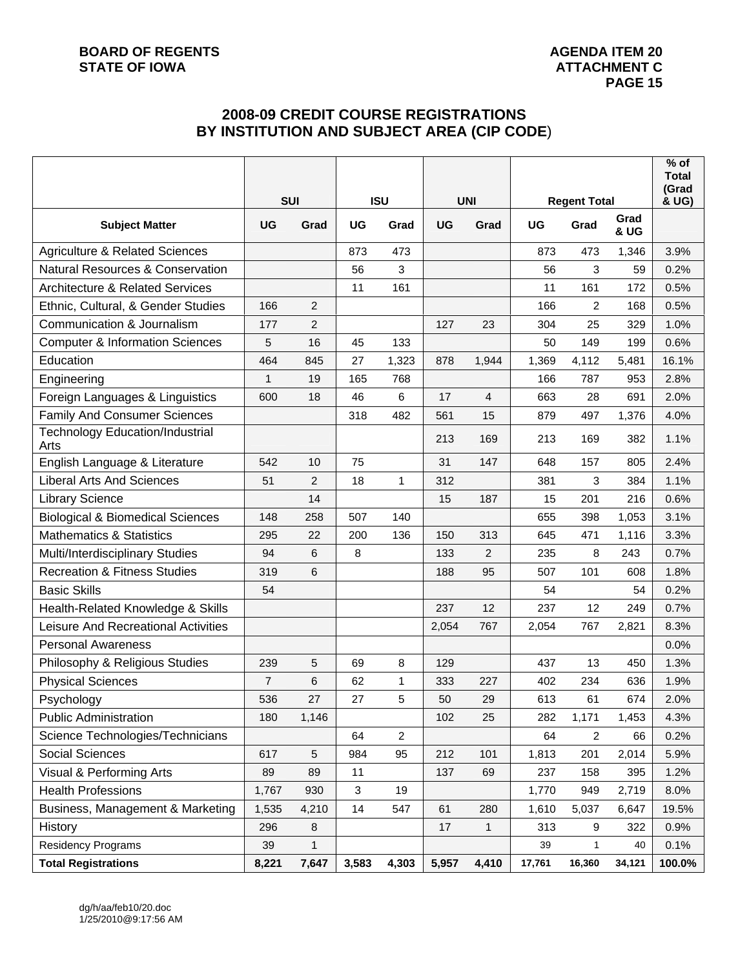# **2008-09 CREDIT COURSE REGISTRATIONS BY INSTITUTION AND SUBJECT AREA (CIP CODE**)

|                                                | <b>SUI</b>     |                | <b>ISU</b> |                |           | <b>UNI</b>     |           | <b>Regent Total</b> |                         | (Grad<br>& UG) |
|------------------------------------------------|----------------|----------------|------------|----------------|-----------|----------------|-----------|---------------------|-------------------------|----------------|
| <b>Subject Matter</b>                          | UG             | Grad           | UG         | Grad           | <b>UG</b> | Grad           | <b>UG</b> | Grad                | Grad<br><b>&amp; UG</b> |                |
| <b>Agriculture &amp; Related Sciences</b>      |                |                | 873        | 473            |           |                | 873       | 473                 | 1,346                   | 3.9%           |
| <b>Natural Resources &amp; Conservation</b>    |                |                | 56         | 3              |           |                | 56        | 3                   | 59                      | 0.2%           |
| <b>Architecture &amp; Related Services</b>     |                |                | 11         | 161            |           |                | 11        | 161                 | 172                     | 0.5%           |
| Ethnic, Cultural, & Gender Studies             | 166            | 2              |            |                |           |                | 166       | 2                   | 168                     | 0.5%           |
| Communication & Journalism                     | 177            | $\overline{2}$ |            |                | 127       | 23             | 304       | 25                  | 329                     | 1.0%           |
| <b>Computer &amp; Information Sciences</b>     | 5              | 16             | 45         | 133            |           |                | 50        | 149                 | 199                     | 0.6%           |
| Education                                      | 464            | 845            | 27         | 1,323          | 878       | 1,944          | 1,369     | 4,112               | 5,481                   | 16.1%          |
| Engineering                                    | 1              | 19             | 165        | 768            |           |                | 166       | 787                 | 953                     | 2.8%           |
| Foreign Languages & Linguistics                | 600            | 18             | 46         | $6\phantom{1}$ | 17        | $\overline{4}$ | 663       | 28                  | 691                     | 2.0%           |
| <b>Family And Consumer Sciences</b>            |                |                | 318        | 482            | 561       | 15             | 879       | 497                 | 1,376                   | 4.0%           |
| <b>Technology Education/Industrial</b><br>Arts |                |                |            |                | 213       | 169            | 213       | 169                 | 382                     | 1.1%           |
| English Language & Literature                  | 542            | 10             | 75         |                | 31        | 147            | 648       | 157                 | 805                     | 2.4%           |
| <b>Liberal Arts And Sciences</b>               | 51             | $\overline{c}$ | 18         | $\mathbf{1}$   | 312       |                | 381       | 3                   | 384                     | 1.1%           |
| <b>Library Science</b>                         |                | 14             |            |                | 15        | 187            | 15        | 201                 | 216                     | 0.6%           |
| <b>Biological &amp; Biomedical Sciences</b>    | 148            | 258            | 507        | 140            |           |                | 655       | 398                 | 1,053                   | 3.1%           |
| <b>Mathematics &amp; Statistics</b>            | 295            | 22             | 200        | 136            | 150       | 313            | 645       | 471                 | 1,116                   | 3.3%           |
| Multi/Interdisciplinary Studies                | 94             | 6              | 8          |                | 133       | $\overline{2}$ | 235       | 8                   | 243                     | 0.7%           |
| <b>Recreation &amp; Fitness Studies</b>        | 319            | 6              |            |                | 188       | 95             | 507       | 101                 | 608                     | 1.8%           |
| <b>Basic Skills</b>                            | 54             |                |            |                |           |                | 54        |                     | 54                      | 0.2%           |
| Health-Related Knowledge & Skills              |                |                |            |                | 237       | 12             | 237       | 12                  | 249                     | 0.7%           |
| Leisure And Recreational Activities            |                |                |            |                | 2,054     | 767            | 2,054     | 767                 | 2,821                   | 8.3%           |
| <b>Personal Awareness</b>                      |                |                |            |                |           |                |           |                     |                         | 0.0%           |
| Philosophy & Religious Studies                 | 239            | 5              | 69         | 8              | 129       |                | 437       | 13                  | 450                     | 1.3%           |
| <b>Physical Sciences</b>                       | $\overline{7}$ | 6              | 62         | 1              | 333       | 227            | 402       | 234                 | 636                     | 1.9%           |
| Psychology                                     | 536            | 27             | 27         | 5              | 50        | 29             | 613       | 61                  | 674                     | 2.0%           |
| <b>Public Administration</b>                   | 180            | 1,146          |            |                | 102       | 25             | 282       | 1,171               | 1,453                   | 4.3%           |
| Science Technologies/Technicians               |                |                | 64         | $\overline{2}$ |           |                | 64        | $\overline{2}$      | 66                      | 0.2%           |
| Social Sciences                                | 617            | 5              | 984        | 95             | 212       | 101            | 1,813     | 201                 | 2,014                   | 5.9%           |
| Visual & Performing Arts                       | 89             | 89             | 11         |                | 137       | 69             | 237       | 158                 | 395                     | 1.2%           |
| <b>Health Professions</b>                      | 1,767          | 930            | 3          | 19             |           |                | 1,770     | 949                 | 2,719                   | 8.0%           |
| Business, Management & Marketing               | 1,535          | 4,210          | 14         | 547            | 61        | 280            | 1,610     | 5,037               | 6,647                   | 19.5%          |
| History                                        | 296            | 8              |            |                | 17        | 1              | 313       | 9                   | 322                     | 0.9%           |
| <b>Residency Programs</b>                      | 39             | 1              |            |                |           |                | 39        | $\mathbf{1}$        | 40                      | 0.1%           |
| <b>Total Registrations</b>                     | 8,221          | 7,647          | 3,583      | 4,303          | 5,957     | 4,410          | 17,761    | 16,360              | 34,121                  | 100.0%         |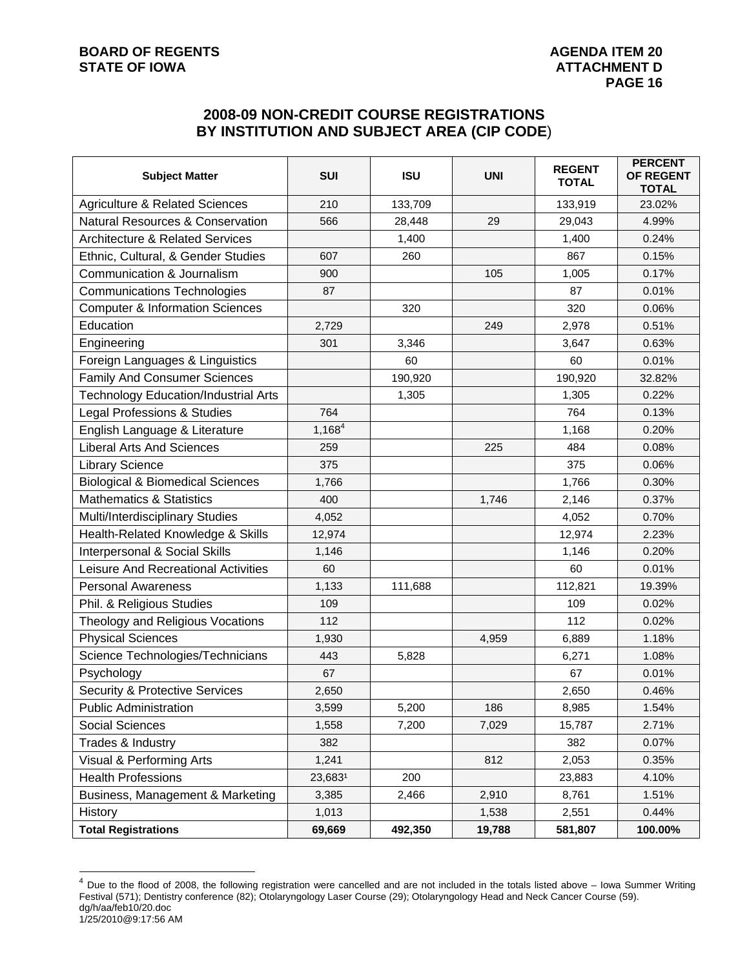# **BOARD OF REGENTS AGENUS AGENDA ITEM 20**

# **2008-09 NON-CREDIT COURSE REGISTRATIONS BY INSTITUTION AND SUBJECT AREA (CIP CODE**)

| <b>Subject Matter</b>                       | <b>SUI</b>  | <b>ISU</b> | <b>UNI</b> | <b>REGENT</b><br><b>TOTAL</b> | <b>PERCENT</b><br>OF REGENT<br><b>TOTAL</b> |
|---------------------------------------------|-------------|------------|------------|-------------------------------|---------------------------------------------|
| <b>Agriculture &amp; Related Sciences</b>   | 210         | 133,709    |            | 133,919                       | 23.02%                                      |
| <b>Natural Resources &amp; Conservation</b> | 566         | 28,448     | 29         | 29,043                        | 4.99%                                       |
| <b>Architecture &amp; Related Services</b>  |             | 1,400      |            | 1,400                         | 0.24%                                       |
| Ethnic, Cultural, & Gender Studies          | 607         | 260        |            | 867                           | 0.15%                                       |
| Communication & Journalism                  | 900         |            | 105        | 1,005                         | 0.17%                                       |
| <b>Communications Technologies</b>          | 87          |            |            | 87                            | 0.01%                                       |
| <b>Computer &amp; Information Sciences</b>  |             | 320        |            | 320                           | 0.06%                                       |
| Education                                   | 2,729       |            | 249        | 2,978                         | 0.51%                                       |
| Engineering                                 | 301         | 3,346      |            | 3,647                         | 0.63%                                       |
| Foreign Languages & Linguistics             |             | 60         |            | 60                            | 0.01%                                       |
| <b>Family And Consumer Sciences</b>         |             | 190,920    |            | 190,920                       | 32.82%                                      |
| <b>Technology Education/Industrial Arts</b> |             | 1,305      |            | 1,305                         | 0.22%                                       |
| Legal Professions & Studies                 | 764         |            |            | 764                           | 0.13%                                       |
| English Language & Literature               | $1,168^{4}$ |            |            | 1,168                         | 0.20%                                       |
| <b>Liberal Arts And Sciences</b>            | 259         |            | 225        | 484                           | 0.08%                                       |
| <b>Library Science</b>                      | 375         |            |            | 375                           | 0.06%                                       |
| <b>Biological &amp; Biomedical Sciences</b> | 1,766       |            |            | 1,766                         | 0.30%                                       |
| <b>Mathematics &amp; Statistics</b>         | 400         |            | 1,746      | 2,146                         | 0.37%                                       |
| Multi/Interdisciplinary Studies             | 4,052       |            |            | 4,052                         | 0.70%                                       |
| Health-Related Knowledge & Skills           | 12,974      |            |            | 12,974                        | 2.23%                                       |
| Interpersonal & Social Skills               | 1,146       |            |            | 1,146                         | 0.20%                                       |
| Leisure And Recreational Activities         | 60          |            |            | 60                            | 0.01%                                       |
| <b>Personal Awareness</b>                   | 1,133       | 111,688    |            | 112,821                       | 19.39%                                      |
| Phil. & Religious Studies                   | 109         |            |            | 109                           | 0.02%                                       |
| Theology and Religious Vocations            | 112         |            |            | 112                           | 0.02%                                       |
| <b>Physical Sciences</b>                    | 1,930       |            | 4,959      | 6,889                         | 1.18%                                       |
| Science Technologies/Technicians            | 443         | 5,828      |            | 6,271                         | 1.08%                                       |
| Psychology                                  | 67          |            |            | 67                            | 0.01%                                       |
| <b>Security &amp; Protective Services</b>   | 2,650       |            |            | 2,650                         | 0.46%                                       |
| <b>Public Administration</b>                | 3,599       | 5,200      | 186        | 8,985                         | 1.54%                                       |
| Social Sciences                             | 1,558       | 7,200      | 7,029      | 15,787                        | 2.71%                                       |
| Trades & Industry                           | 382         |            |            | 382                           | 0.07%                                       |
| Visual & Performing Arts                    | 1,241       |            | 812        | 2,053                         | 0.35%                                       |
| <b>Health Professions</b>                   | 23,6831     | 200        |            | 23,883                        | 4.10%                                       |
| Business, Management & Marketing            | 3,385       | 2,466      | 2,910      | 8,761                         | 1.51%                                       |
| History                                     | 1,013       |            | 1,538      | 2,551                         | 0.44%                                       |
| <b>Total Registrations</b>                  | 69,669      | 492,350    | 19,788     | 581,807                       | 100.00%                                     |

dg/h/aa/feb10/20.doc 1/25/2010@9:17:56 AM  $<sup>4</sup>$  Due to the flood of 2008, the following registration were cancelled and are not included in the totals listed above – Iowa Summer Writing</sup> Festival (571); Dentistry conference (82); Otolaryngology Laser Course (29); Otolaryngology Head and Neck Cancer Course (59).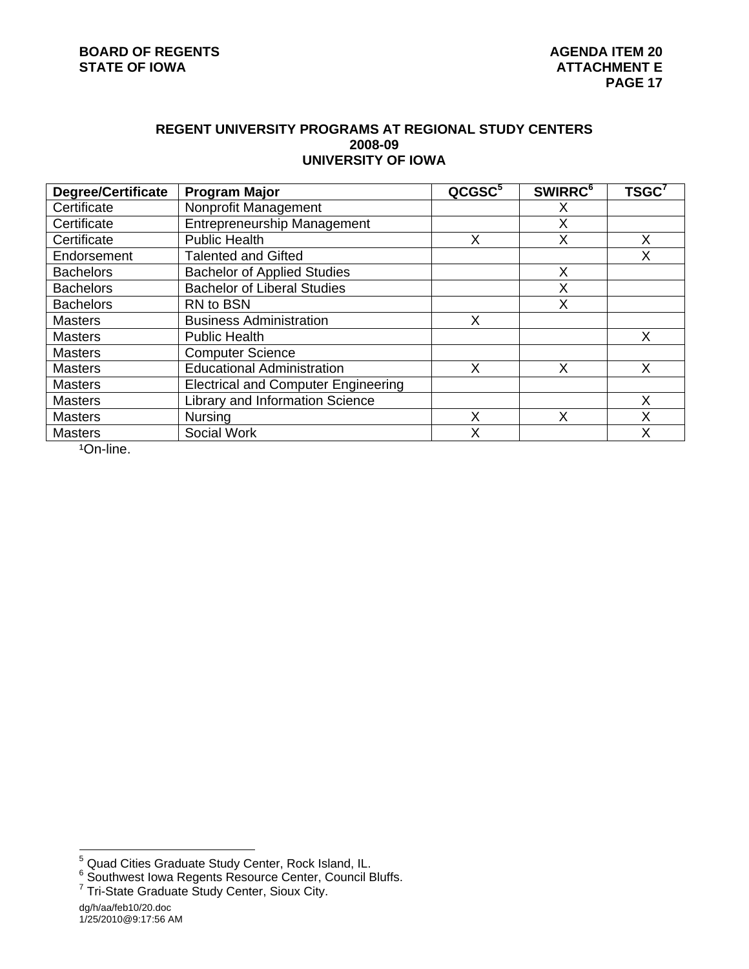#### **REGENT UNIVERSITY PROGRAMS AT REGIONAL STUDY CENTERS 2008-09 UNIVERSITY OF IOWA**

| <b>Degree/Certificate</b> | <b>Program Major</b>                       | QCGSC <sup>5</sup> | <b>SWIRRC<sup>6</sup></b> | TSGC <sup>7</sup> |
|---------------------------|--------------------------------------------|--------------------|---------------------------|-------------------|
| Certificate               | Nonprofit Management                       |                    | X                         |                   |
| Certificate               | <b>Entrepreneurship Management</b>         |                    | X                         |                   |
| Certificate               | <b>Public Health</b>                       | X                  | X                         | X                 |
| Endorsement               | <b>Talented and Gifted</b>                 |                    |                           | Χ                 |
| <b>Bachelors</b>          | <b>Bachelor of Applied Studies</b>         |                    | X                         |                   |
| <b>Bachelors</b>          | <b>Bachelor of Liberal Studies</b>         |                    | X                         |                   |
| <b>Bachelors</b>          | RN to BSN                                  |                    | X                         |                   |
| <b>Masters</b>            | <b>Business Administration</b>             | X                  |                           |                   |
| <b>Masters</b>            | <b>Public Health</b>                       |                    |                           | X                 |
| <b>Masters</b>            | <b>Computer Science</b>                    |                    |                           |                   |
| <b>Masters</b>            | <b>Educational Administration</b>          | Χ                  | Χ                         | Χ                 |
| <b>Masters</b>            | <b>Electrical and Computer Engineering</b> |                    |                           |                   |
| <b>Masters</b>            | Library and Information Science            |                    |                           | X                 |
| <b>Masters</b>            | <b>Nursing</b>                             | X                  | X                         | Χ                 |
| <b>Masters</b>            | Social Work                                | X                  |                           | Χ                 |

1On-line.

<sup>&</sup>lt;sup>5</sup><br><sup>5</sup> Quad Cities Graduate Study Center, Rock Island, IL.<br><sup>6</sup> Southwest Iowa Regents Resource Center, Council Bluffs.<br><sup>7</sup> Tri-State Graduate Study Center, Sioux City.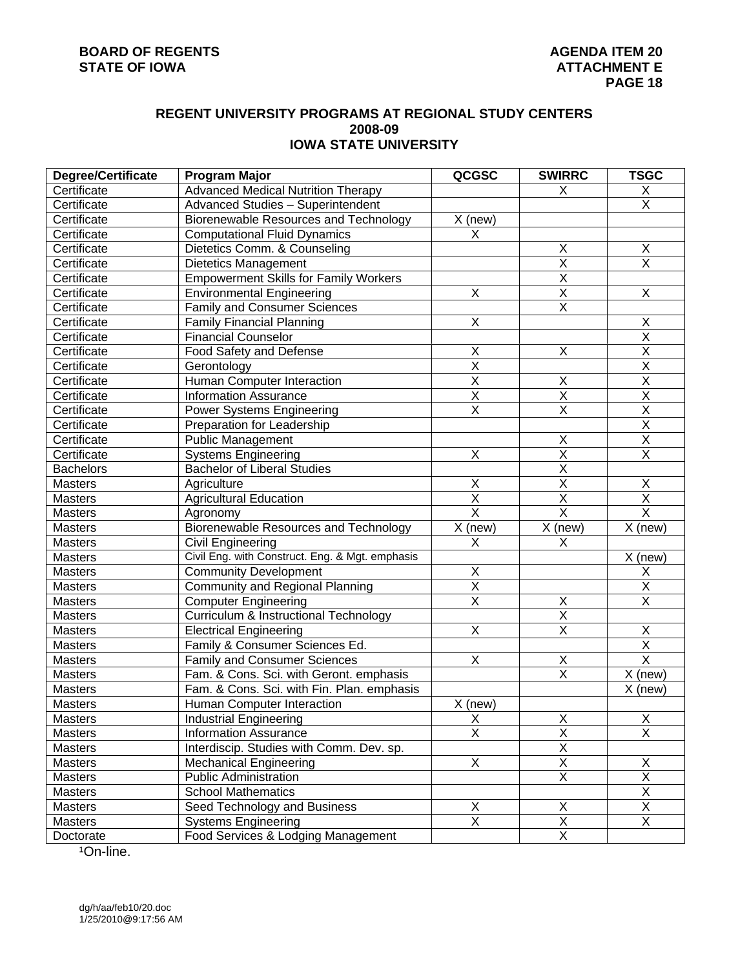#### **REGENT UNIVERSITY PROGRAMS AT REGIONAL STUDY CENTERS 2008-09 IOWA STATE UNIVERSITY**

| Degree/Certificate | Program Major                                   | QCGSC                   | <b>SWIRRC</b>           | <b>TSGC</b>             |
|--------------------|-------------------------------------------------|-------------------------|-------------------------|-------------------------|
| Certificate        | <b>Advanced Medical Nutrition Therapy</b>       |                         | X                       | X                       |
| Certificate        | Advanced Studies - Superintendent               |                         |                         | X                       |
| Certificate        | Biorenewable Resources and Technology           | X (new)                 |                         |                         |
| Certificate        | <b>Computational Fluid Dynamics</b>             | X                       |                         |                         |
| Certificate        | Dietetics Comm. & Counseling                    |                         | Χ                       | X                       |
| Certificate        | Dietetics Management                            |                         | $\overline{\mathsf{x}}$ | $\overline{\mathsf{X}}$ |
| Certificate        | <b>Empowerment Skills for Family Workers</b>    |                         | $\overline{\mathsf{x}}$ |                         |
| Certificate        | <b>Environmental Engineering</b>                | X                       | $\overline{\mathsf{x}}$ | X                       |
| Certificate        | <b>Family and Consumer Sciences</b>             |                         | $\overline{\mathsf{x}}$ |                         |
| Certificate        | <b>Family Financial Planning</b>                | $\overline{\mathsf{X}}$ |                         | X                       |
| Certificate        | <b>Financial Counselor</b>                      |                         |                         | $\overline{\mathsf{X}}$ |
| Certificate        | Food Safety and Defense                         | $\overline{X}$          | $\sf X$                 | $\overline{\mathsf{x}}$ |
| Certificate        | Gerontology                                     | $\overline{\mathsf{x}}$ |                         | $\overline{\mathsf{X}}$ |
| Certificate        | Human Computer Interaction                      | $\overline{\mathsf{x}}$ | $\sf X$                 | $\overline{\mathsf{X}}$ |
| Certificate        | <b>Information Assurance</b>                    | $\overline{\mathsf{x}}$ | $\overline{\mathsf{x}}$ | $\overline{\mathsf{X}}$ |
| Certificate        | <b>Power Systems Engineering</b>                | $\overline{\mathsf{x}}$ | $\overline{\mathsf{x}}$ | $\overline{\mathsf{X}}$ |
| Certificate        | Preparation for Leadership                      |                         |                         | $\overline{\mathsf{X}}$ |
| Certificate        | <b>Public Management</b>                        |                         | $\sf X$                 | $\overline{\mathsf{X}}$ |
| Certificate        | <b>Systems Engineering</b>                      | X                       | $\overline{\mathsf{x}}$ | $\overline{\mathsf{X}}$ |
| <b>Bachelors</b>   | <b>Bachelor of Liberal Studies</b>              |                         | $\overline{\mathsf{X}}$ |                         |
| Masters            | Agriculture                                     | $\overline{X}$          | $\overline{X}$          | X                       |
| <b>Masters</b>     | <b>Agricultural Education</b>                   | $\overline{\mathsf{x}}$ | $\overline{X}$          | $\overline{\mathsf{X}}$ |
| Masters            | Agronomy                                        | $\overline{\mathsf{x}}$ | $\overline{\mathsf{x}}$ | $\overline{\mathsf{x}}$ |
| Masters            | Biorenewable Resources and Technology           | X (new)                 | X (new)                 | X (new)                 |
| Masters            | Civil Engineering                               | X                       | X                       |                         |
| Masters            | Civil Eng. with Construct. Eng. & Mgt. emphasis |                         |                         | $X$ (new)               |
| <b>Masters</b>     | <b>Community Development</b>                    | X                       |                         | X                       |
| Masters            | <b>Community and Regional Planning</b>          | $\overline{\mathsf{X}}$ |                         | $\overline{\mathsf{X}}$ |
| <b>Masters</b>     | <b>Computer Engineering</b>                     | $\overline{X}$          | $\sf X$                 | $\overline{X}$          |
| Masters            | Curriculum & Instructional Technology           |                         | $\overline{X}$          |                         |
| <b>Masters</b>     | <b>Electrical Engineering</b>                   | $\overline{\mathsf{X}}$ | $\overline{X}$          | X                       |
| Masters            | Family & Consumer Sciences Ed.                  |                         |                         | $\overline{\mathsf{X}}$ |
| Masters            | <b>Family and Consumer Sciences</b>             | X                       | $\mathsf X$             | $\overline{\mathsf{x}}$ |
| Masters            | Fam. & Cons. Sci. with Geront. emphasis         |                         | $\overline{\mathsf{x}}$ | X (new)                 |
| Masters            | Fam. & Cons. Sci. with Fin. Plan. emphasis      |                         |                         | X (new)                 |
| Masters            | Human Computer Interaction                      | X (new)                 |                         |                         |
| Masters            | Industrial Engineering                          |                         | $\overline{\mathsf{X}}$ | $\overline{\mathsf{X}}$ |
| <b>Masters</b>     | <b>Information Assurance</b>                    | $\frac{x}{x}$           | $\overline{\mathsf{x}}$ | $\overline{\mathsf{x}}$ |
| Masters            | Interdiscip. Studies with Comm. Dev. sp.        |                         | $\overline{X}$          |                         |
| Masters            | <b>Mechanical Engineering</b>                   | $\overline{X}$          | $\overline{X}$          | Χ                       |
| Masters            | <b>Public Administration</b>                    |                         | $\overline{X}$          | $\overline{X}$          |
| Masters            | <b>School Mathematics</b>                       |                         |                         | $\overline{X}$          |
| Masters            | Seed Technology and Business                    | X                       | Χ                       | X                       |
| Masters            | <b>Systems Engineering</b>                      | $\overline{X}$          | $\overline{X}$          | $\mathsf{X}$            |
| Doctorate          | Food Services & Lodging Management              |                         | $\overline{X}$          |                         |
|                    |                                                 |                         |                         |                         |

1On-line.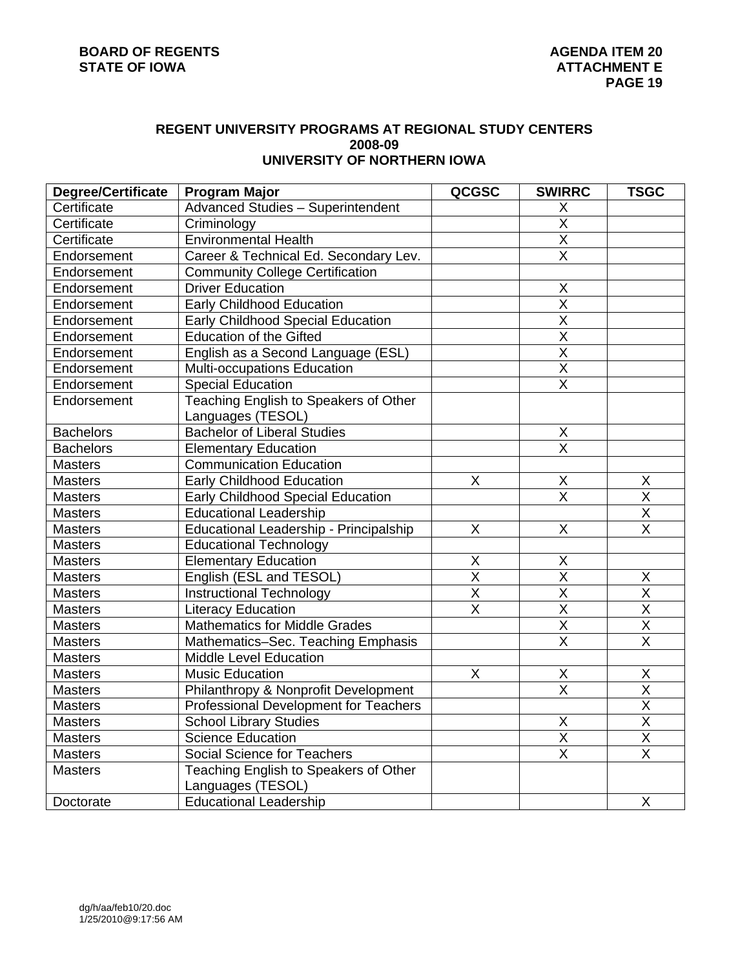#### **REGENT UNIVERSITY PROGRAMS AT REGIONAL STUDY CENTERS 2008-09 UNIVERSITY OF NORTHERN IOWA**

| <b>Degree/Certificate</b> | <b>Program Major</b>                     | QCGSC                   | <b>SWIRRC</b>           | <b>TSGC</b>             |
|---------------------------|------------------------------------------|-------------------------|-------------------------|-------------------------|
| Certificate               | <b>Advanced Studies - Superintendent</b> |                         | X                       |                         |
| Certificate               | Criminology                              |                         | $\overline{\mathsf{x}}$ |                         |
| Certificate               | <b>Environmental Health</b>              |                         | $\overline{X}$          |                         |
| Endorsement               | Career & Technical Ed. Secondary Lev.    |                         | $\overline{X}$          |                         |
| Endorsement               | <b>Community College Certification</b>   |                         |                         |                         |
| Endorsement               | <b>Driver Education</b>                  |                         | X                       |                         |
| Endorsement               | <b>Early Childhood Education</b>         |                         | $\overline{\mathsf{X}}$ |                         |
| Endorsement               | Early Childhood Special Education        |                         | $\overline{\mathsf{x}}$ |                         |
| Endorsement               | <b>Education of the Gifted</b>           |                         | $\overline{\mathsf{X}}$ |                         |
| Endorsement               | English as a Second Language (ESL)       |                         | $\overline{\mathsf{x}}$ |                         |
| Endorsement               | Multi-occupations Education              |                         | $\overline{\mathsf{x}}$ |                         |
| Endorsement               | <b>Special Education</b>                 |                         | $\overline{\mathsf{x}}$ |                         |
| Endorsement               | Teaching English to Speakers of Other    |                         |                         |                         |
|                           | Languages (TESOL)                        |                         |                         |                         |
| <b>Bachelors</b>          | <b>Bachelor of Liberal Studies</b>       |                         | X                       |                         |
| <b>Bachelors</b>          | <b>Elementary Education</b>              |                         | $\overline{\mathsf{x}}$ |                         |
| Masters                   | <b>Communication Education</b>           |                         |                         |                         |
| <b>Masters</b>            | <b>Early Childhood Education</b>         | X                       | Χ                       | X                       |
| <b>Masters</b>            | Early Childhood Special Education        |                         | $\sf X$                 | $\overline{\mathsf{x}}$ |
| <b>Masters</b>            | <b>Educational Leadership</b>            |                         |                         | $\overline{\mathsf{X}}$ |
| <b>Masters</b>            | Educational Leadership - Principalship   | X                       | $\sf X$                 | $\overline{\mathsf{x}}$ |
| Masters                   | <b>Educational Technology</b>            |                         |                         |                         |
| <b>Masters</b>            | <b>Elementary Education</b>              | X                       | X                       |                         |
| <b>Masters</b>            | English (ESL and TESOL)                  | $\overline{\mathsf{x}}$ | $\overline{\mathsf{x}}$ | Χ                       |
| <b>Masters</b>            | <b>Instructional Technology</b>          | $\overline{\mathsf{x}}$ | $\overline{\mathsf{x}}$ | $\overline{\mathsf{x}}$ |
| <b>Masters</b>            | <b>Literacy Education</b>                | $\overline{\mathsf{x}}$ | $\overline{\mathsf{X}}$ | $\overline{\mathsf{X}}$ |
| Masters                   | <b>Mathematics for Middle Grades</b>     |                         | $\overline{\mathsf{X}}$ | $\overline{\mathsf{X}}$ |
| <b>Masters</b>            | Mathematics-Sec. Teaching Emphasis       |                         | $\overline{\mathsf{X}}$ | $\overline{\mathsf{X}}$ |
| Masters                   | <b>Middle Level Education</b>            |                         |                         |                         |
| <b>Masters</b>            | <b>Music Education</b>                   | Χ                       | X                       | X                       |
| <b>Masters</b>            | Philanthropy & Nonprofit Development     |                         | $\sf X$                 | X                       |
| <b>Masters</b>            | Professional Development for Teachers    |                         |                         | $\overline{\mathsf{X}}$ |
| <b>Masters</b>            | <b>School Library Studies</b>            |                         | X                       | $\overline{\mathsf{x}}$ |
| <b>Masters</b>            | <b>Science Education</b>                 |                         | $\overline{X}$          | $\overline{X}$          |
| <b>Masters</b>            | Social Science for Teachers              |                         | $\overline{\mathsf{x}}$ | $\overline{\mathsf{x}}$ |
| <b>Masters</b>            | Teaching English to Speakers of Other    |                         |                         |                         |
|                           | Languages (TESOL)                        |                         |                         |                         |
| Doctorate                 | <b>Educational Leadership</b>            |                         |                         | X                       |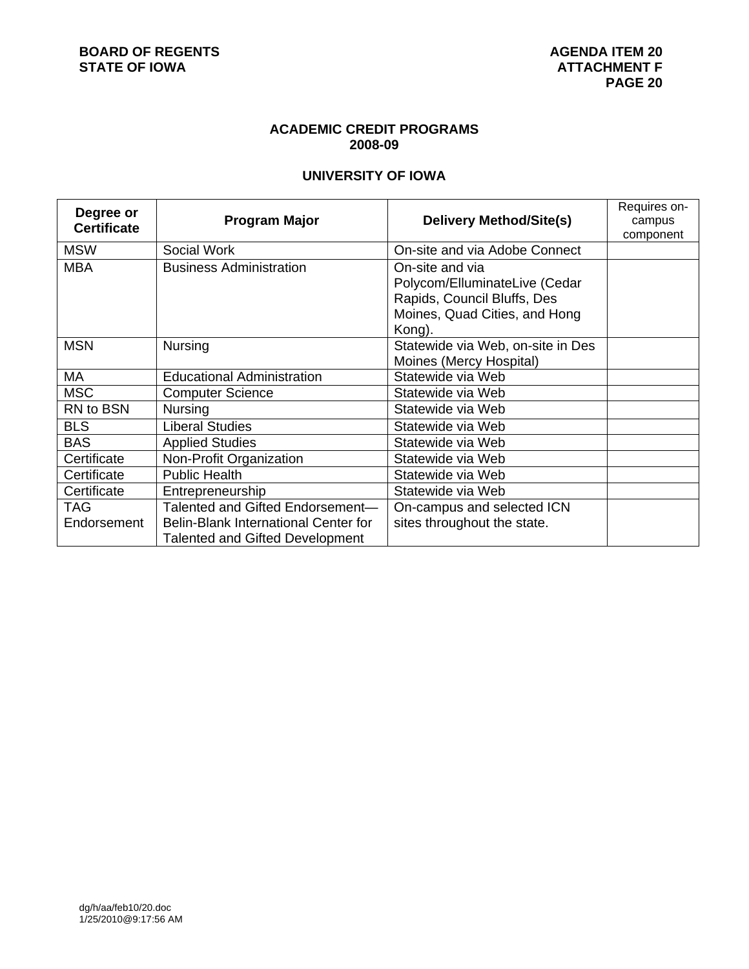# **ACADEMIC CREDIT PROGRAMS 2008-09**

# **UNIVERSITY OF IOWA**

| Degree or<br><b>Certificate</b> | <b>Program Major</b>                                                                                               | <b>Delivery Method/Site(s)</b>                                                                                             | Requires on-<br>campus<br>component |
|---------------------------------|--------------------------------------------------------------------------------------------------------------------|----------------------------------------------------------------------------------------------------------------------------|-------------------------------------|
| <b>MSW</b>                      | Social Work                                                                                                        | On-site and via Adobe Connect                                                                                              |                                     |
| <b>MBA</b>                      | <b>Business Administration</b>                                                                                     | On-site and via<br>Polycom/ElluminateLive (Cedar<br>Rapids, Council Bluffs, Des<br>Moines, Quad Cities, and Hong<br>Kong). |                                     |
| <b>MSN</b>                      | Nursing                                                                                                            | Statewide via Web, on-site in Des<br>Moines (Mercy Hospital)                                                               |                                     |
| МA                              | <b>Educational Administration</b>                                                                                  | Statewide via Web                                                                                                          |                                     |
| <b>MSC</b>                      | <b>Computer Science</b>                                                                                            | Statewide via Web                                                                                                          |                                     |
| RN to BSN                       | <b>Nursing</b>                                                                                                     | Statewide via Web                                                                                                          |                                     |
| <b>BLS</b>                      | <b>Liberal Studies</b>                                                                                             | Statewide via Web                                                                                                          |                                     |
| <b>BAS</b>                      | <b>Applied Studies</b>                                                                                             | Statewide via Web                                                                                                          |                                     |
| Certificate                     | Non-Profit Organization                                                                                            | Statewide via Web                                                                                                          |                                     |
| Certificate                     | <b>Public Health</b>                                                                                               | Statewide via Web                                                                                                          |                                     |
| Certificate                     | Entrepreneurship                                                                                                   | Statewide via Web                                                                                                          |                                     |
| <b>TAG</b><br>Endorsement       | Talented and Gifted Endorsement-<br>Belin-Blank International Center for<br><b>Talented and Gifted Development</b> | On-campus and selected ICN<br>sites throughout the state.                                                                  |                                     |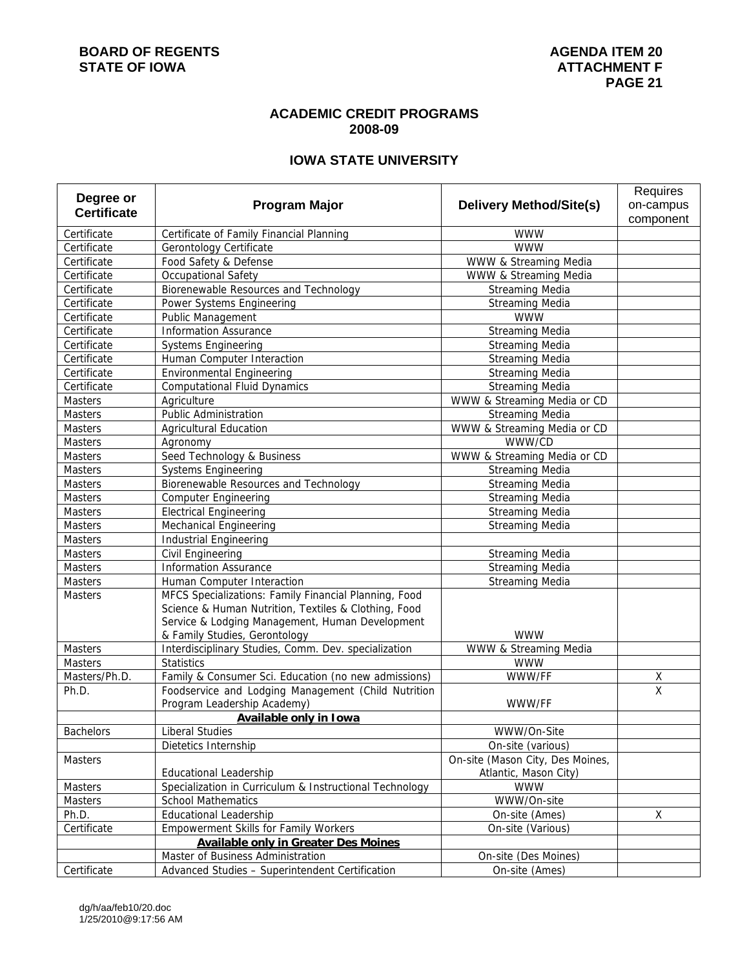#### **ACADEMIC CREDIT PROGRAMS 2008-09**

# **IOWA STATE UNIVERSITY**

| Degree or<br><b>Program Major</b><br><b>Delivery Method/Site(s)</b><br>on-campus<br><b>Certificate</b><br>component       |  |
|---------------------------------------------------------------------------------------------------------------------------|--|
|                                                                                                                           |  |
|                                                                                                                           |  |
| Certificate<br>Certificate of Family Financial Planning<br><b>WWW</b>                                                     |  |
| Certificate<br><b>WWW</b><br>Gerontology Certificate                                                                      |  |
| Certificate<br>Food Safety & Defense<br>WWW & Streaming Media                                                             |  |
| Certificate<br>Occupational Safety<br>WWW & Streaming Media                                                               |  |
| Biorenewable Resources and Technology<br>Certificate<br><b>Streaming Media</b>                                            |  |
| <b>Streaming Media</b><br>Certificate<br>Power Systems Engineering                                                        |  |
| <b>WWW</b><br>Certificate<br>Public Management                                                                            |  |
| <b>Information Assurance</b><br><b>Streaming Media</b><br>Certificate                                                     |  |
| Certificate<br><b>Systems Engineering</b><br><b>Streaming Media</b>                                                       |  |
| Certificate<br>Human Computer Interaction<br><b>Streaming Media</b>                                                       |  |
| Certificate<br><b>Environmental Engineering</b><br><b>Streaming Media</b>                                                 |  |
| Certificate<br><b>Streaming Media</b><br><b>Computational Fluid Dynamics</b>                                              |  |
| Masters<br>WWW & Streaming Media or CD<br>Agriculture                                                                     |  |
| Public Administration<br>Masters<br><b>Streaming Media</b>                                                                |  |
| WWW & Streaming Media or CD<br>Masters<br><b>Agricultural Education</b>                                                   |  |
| WWW/CD<br>Masters<br>Agronomy                                                                                             |  |
| WWW & Streaming Media or CD<br>Seed Technology & Business<br><b>Masters</b>                                               |  |
| Streaming Media<br>Masters<br><b>Systems Engineering</b>                                                                  |  |
| Biorenewable Resources and Technology<br><b>Streaming Media</b><br>Masters                                                |  |
| <b>Streaming Media</b><br>Masters<br><b>Computer Engineering</b>                                                          |  |
| <b>Streaming Media</b><br>Masters<br><b>Electrical Engineering</b>                                                        |  |
| Masters<br><b>Mechanical Engineering</b><br><b>Streaming Media</b>                                                        |  |
| Masters<br><b>Industrial Engineering</b>                                                                                  |  |
| Masters<br>Civil Engineering<br><b>Streaming Media</b>                                                                    |  |
| <b>Streaming Media</b><br><b>Information Assurance</b><br>Masters                                                         |  |
| Masters<br><b>Streaming Media</b><br>Human Computer Interaction                                                           |  |
| MFCS Specializations: Family Financial Planning, Food<br><b>Masters</b>                                                   |  |
| Science & Human Nutrition, Textiles & Clothing, Food                                                                      |  |
| Service & Lodging Management, Human Development<br><b>WWW</b>                                                             |  |
| & Family Studies, Gerontology<br>Interdisciplinary Studies, Comm. Dev. specialization<br>Masters<br>WWW & Streaming Media |  |
| <b>Statistics</b><br><b>WWW</b>                                                                                           |  |
| Masters<br>Masters/Ph.D.<br>Family & Consumer Sci. Education (no new admissions)<br>WWW/FF                                |  |
| <u>х</u><br>$\overline{\mathsf{x}}$<br>Foodservice and Lodging Management (Child Nutrition<br>Ph.D.                       |  |
| Program Leadership Academy)<br>WWW/FF                                                                                     |  |
| <b>Available only in Iowa</b>                                                                                             |  |
| <b>Liberal Studies</b><br><b>Bachelors</b><br>WWW/On-Site                                                                 |  |
| On-site (various)<br>Dietetics Internship                                                                                 |  |
| On-site (Mason City, Des Moines,<br><b>Masters</b>                                                                        |  |
| Atlantic, Mason City)<br><b>Educational Leadership</b>                                                                    |  |
| Specialization in Curriculum & Instructional Technology<br>Masters<br><b>WWW</b>                                          |  |
| WWW/On-site<br><b>School Mathematics</b><br>Masters                                                                       |  |
| $\mathsf X$<br>Ph.D.<br><b>Educational Leadership</b><br>On-site (Ames)                                                   |  |
| <b>Empowerment Skills for Family Workers</b><br>Certificate<br>On-site (Various)                                          |  |
| <b>Available only in Greater Des Moines</b>                                                                               |  |
| Master of Business Administration<br>On-site (Des Moines)                                                                 |  |
| Certificate<br>Advanced Studies - Superintendent Certification<br>On-site (Ames)                                          |  |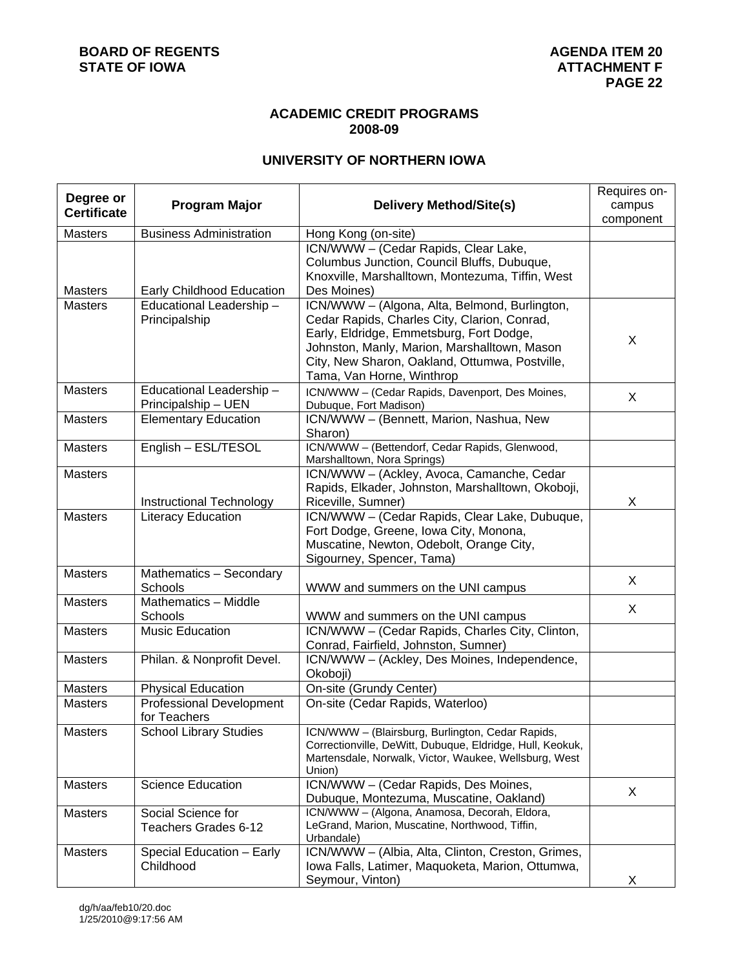## **ACADEMIC CREDIT PROGRAMS 2008-09**

# **UNIVERSITY OF NORTHERN IOWA**

| Degree or          |                                 |                                                                                                               | Requires on- |
|--------------------|---------------------------------|---------------------------------------------------------------------------------------------------------------|--------------|
| <b>Certificate</b> | <b>Program Major</b>            | <b>Delivery Method/Site(s)</b>                                                                                | campus       |
|                    |                                 |                                                                                                               | component    |
| <b>Masters</b>     | <b>Business Administration</b>  | Hong Kong (on-site)                                                                                           |              |
|                    |                                 | ICN/WWW - (Cedar Rapids, Clear Lake,                                                                          |              |
|                    |                                 | Columbus Junction, Council Bluffs, Dubuque,                                                                   |              |
|                    |                                 | Knoxville, Marshalltown, Montezuma, Tiffin, West                                                              |              |
| <b>Masters</b>     | Early Childhood Education       | Des Moines)                                                                                                   |              |
| <b>Masters</b>     | Educational Leadership-         | ICN/WWW - (Algona, Alta, Belmond, Burlington,                                                                 |              |
|                    | Principalship                   | Cedar Rapids, Charles City, Clarion, Conrad,                                                                  |              |
|                    |                                 | Early, Eldridge, Emmetsburg, Fort Dodge,                                                                      | X            |
|                    |                                 | Johnston, Manly, Marion, Marshalltown, Mason                                                                  |              |
|                    |                                 | City, New Sharon, Oakland, Ottumwa, Postville,                                                                |              |
|                    |                                 | Tama, Van Horne, Winthrop                                                                                     |              |
| <b>Masters</b>     | Educational Leadership -        | ICN/WWW - (Cedar Rapids, Davenport, Des Moines,                                                               | X            |
|                    | Principalship - UEN             | Dubuque, Fort Madison)                                                                                        |              |
| <b>Masters</b>     | <b>Elementary Education</b>     | ICN/WWW - (Bennett, Marion, Nashua, New                                                                       |              |
|                    |                                 | Sharon)                                                                                                       |              |
| <b>Masters</b>     | English - ESL/TESOL             | ICN/WWW - (Bettendorf, Cedar Rapids, Glenwood,                                                                |              |
|                    |                                 | Marshalltown, Nora Springs)                                                                                   |              |
| <b>Masters</b>     |                                 | ICN/WWW - (Ackley, Avoca, Camanche, Cedar                                                                     |              |
|                    |                                 | Rapids, Elkader, Johnston, Marshalltown, Okoboji,                                                             |              |
|                    | Instructional Technology        | Riceville, Sumner)                                                                                            | X            |
| <b>Masters</b>     | <b>Literacy Education</b>       | ICN/WWW - (Cedar Rapids, Clear Lake, Dubuque,                                                                 |              |
|                    |                                 | Fort Dodge, Greene, Iowa City, Monona,                                                                        |              |
|                    |                                 | Muscatine, Newton, Odebolt, Orange City,                                                                      |              |
|                    |                                 | Sigourney, Spencer, Tama)                                                                                     |              |
| <b>Masters</b>     | Mathematics - Secondary         |                                                                                                               | X            |
|                    | Schools                         | WWW and summers on the UNI campus                                                                             |              |
| <b>Masters</b>     | Mathematics - Middle            |                                                                                                               | X            |
|                    | Schools                         | WWW and summers on the UNI campus                                                                             |              |
| <b>Masters</b>     | <b>Music Education</b>          | ICN/WWW - (Cedar Rapids, Charles City, Clinton,                                                               |              |
|                    |                                 | Conrad, Fairfield, Johnston, Sumner)                                                                          |              |
| <b>Masters</b>     | Philan. & Nonprofit Devel.      | ICN/WWW - (Ackley, Des Moines, Independence,                                                                  |              |
|                    |                                 | Okoboji)                                                                                                      |              |
| <b>Masters</b>     | <b>Physical Education</b>       | On-site (Grundy Center)                                                                                       |              |
| <b>Masters</b>     | <b>Professional Development</b> | On-site (Cedar Rapids, Waterloo)                                                                              |              |
|                    | for Teachers                    |                                                                                                               |              |
| Masters            | School Library Studies          | ICN/WWW - (Blairsburg, Burlington, Cedar Rapids,<br>Correctionville, DeWitt, Dubuque, Eldridge, Hull, Keokuk, |              |
|                    |                                 | Martensdale, Norwalk, Victor, Waukee, Wellsburg, West                                                         |              |
|                    |                                 | Union)                                                                                                        |              |
| <b>Masters</b>     | <b>Science Education</b>        | ICN/WWW - (Cedar Rapids, Des Moines,                                                                          |              |
|                    |                                 | Dubuque, Montezuma, Muscatine, Oakland)                                                                       | X            |
| <b>Masters</b>     | Social Science for              | ICN/WWW - (Algona, Anamosa, Decorah, Eldora,                                                                  |              |
|                    | Teachers Grades 6-12            | LeGrand, Marion, Muscatine, Northwood, Tiffin,                                                                |              |
|                    |                                 | Urbandale)                                                                                                    |              |
| Masters            | Special Education - Early       | ICN/WWW - (Albia, Alta, Clinton, Creston, Grimes,                                                             |              |
|                    | Childhood                       | Iowa Falls, Latimer, Maquoketa, Marion, Ottumwa,                                                              |              |
|                    |                                 | Seymour, Vinton)                                                                                              | X            |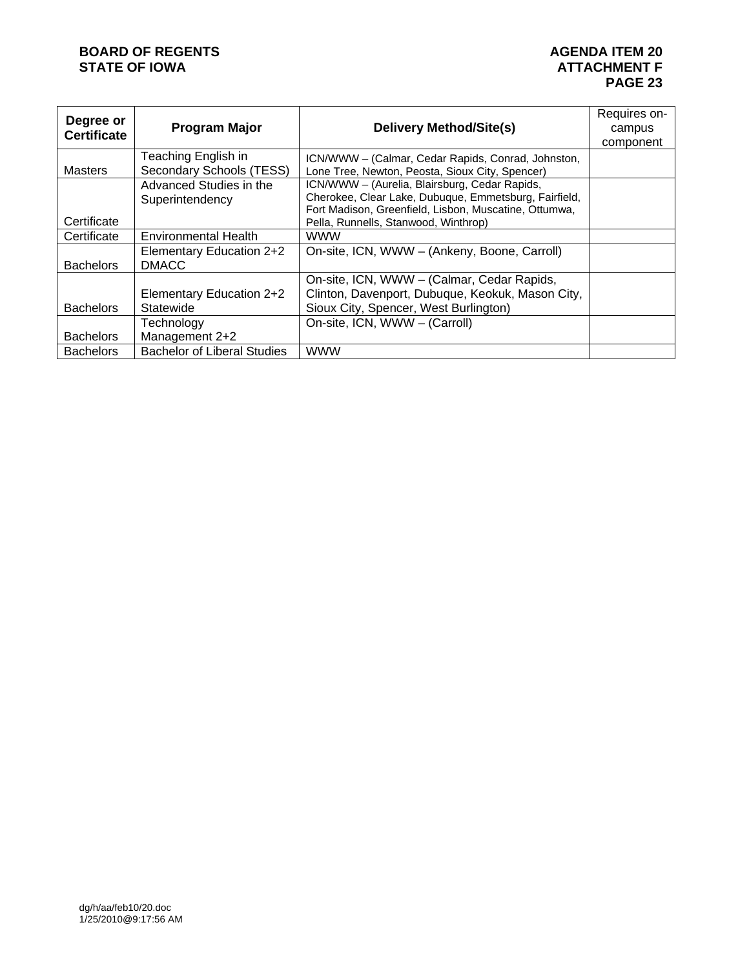# **BOARD OF REGENTS**<br> **BOARD OF REGENTS**<br> **BOARD OF IOWA**<br> **ATTACHMENT F**

| Degree or          |                                    |                                                       | Requires on- |
|--------------------|------------------------------------|-------------------------------------------------------|--------------|
| <b>Certificate</b> | <b>Program Major</b>               | <b>Delivery Method/Site(s)</b>                        | campus       |
|                    |                                    |                                                       | component    |
|                    | Teaching English in                | ICN/WWW - (Calmar, Cedar Rapids, Conrad, Johnston,    |              |
| <b>Masters</b>     | Secondary Schools (TESS)           | Lone Tree, Newton, Peosta, Sioux City, Spencer)       |              |
|                    | Advanced Studies in the            | ICN/WWW - (Aurelia, Blairsburg, Cedar Rapids,         |              |
|                    | Superintendency                    | Cherokee, Clear Lake, Dubuque, Emmetsburg, Fairfield, |              |
|                    |                                    | Fort Madison, Greenfield, Lisbon, Muscatine, Ottumwa, |              |
| Certificate        |                                    | Pella, Runnells, Stanwood, Winthrop)                  |              |
| Certificate        | <b>Environmental Health</b>        | <b>WWW</b>                                            |              |
|                    | Elementary Education 2+2           | On-site, ICN, WWW - (Ankeny, Boone, Carroll)          |              |
| <b>Bachelors</b>   | <b>DMACC</b>                       |                                                       |              |
|                    |                                    | On-site, ICN, WWW - (Calmar, Cedar Rapids,            |              |
|                    | Elementary Education 2+2           | Clinton, Davenport, Dubuque, Keokuk, Mason City,      |              |
| <b>Bachelors</b>   | Statewide                          | Sioux City, Spencer, West Burlington)                 |              |
|                    | Technology                         | On-site, ICN, WWW - (Carroll)                         |              |
| <b>Bachelors</b>   | Management 2+2                     |                                                       |              |
| <b>Bachelors</b>   | <b>Bachelor of Liberal Studies</b> | <b>WWW</b>                                            |              |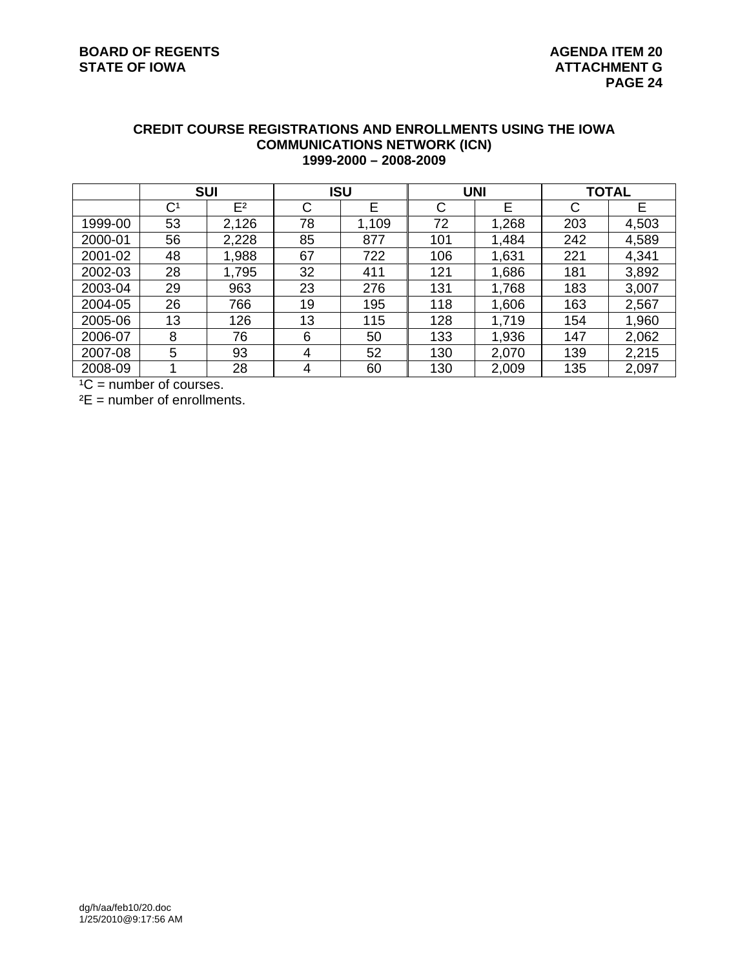## **CREDIT COURSE REGISTRATIONS AND ENROLLMENTS USING THE IOWA COMMUNICATIONS NETWORK (ICN) 1999-2000 – 2008-2009**

|         | <b>SUI</b>     |                | <b>ISU</b> |       | <b>UNI</b> |       | <b>TOTAL</b> |       |
|---------|----------------|----------------|------------|-------|------------|-------|--------------|-------|
|         | C <sup>1</sup> | E <sup>2</sup> | C          | E     | C          | E     | С            | E     |
| 1999-00 | 53             | 2,126          | 78         | 1,109 | 72         | 1,268 | 203          | 4,503 |
| 2000-01 | 56             | 2,228          | 85         | 877   | 101        | 1,484 | 242          | 4,589 |
| 2001-02 | 48             | 1,988          | 67         | 722   | 106        | 1,631 | 221          | 4,341 |
| 2002-03 | 28             | 1,795          | 32         | 411   | 121        | 1,686 | 181          | 3,892 |
| 2003-04 | 29             | 963            | 23         | 276   | 131        | 1,768 | 183          | 3,007 |
| 2004-05 | 26             | 766            | 19         | 195   | 118        | 1,606 | 163          | 2,567 |
| 2005-06 | 13             | 126            | 13         | 115   | 128        | 1,719 | 154          | 1,960 |
| 2006-07 | 8              | 76             | 6          | 50    | 133        | 1,936 | 147          | 2,062 |
| 2007-08 | 5              | 93             | 4          | 52    | 130        | 2,070 | 139          | 2,215 |
| 2008-09 |                | 28             | 4          | 60    | 130        | 2,009 | 135          | 2,097 |

 $^1C$  = number of courses.

 $E =$  number of enrollments.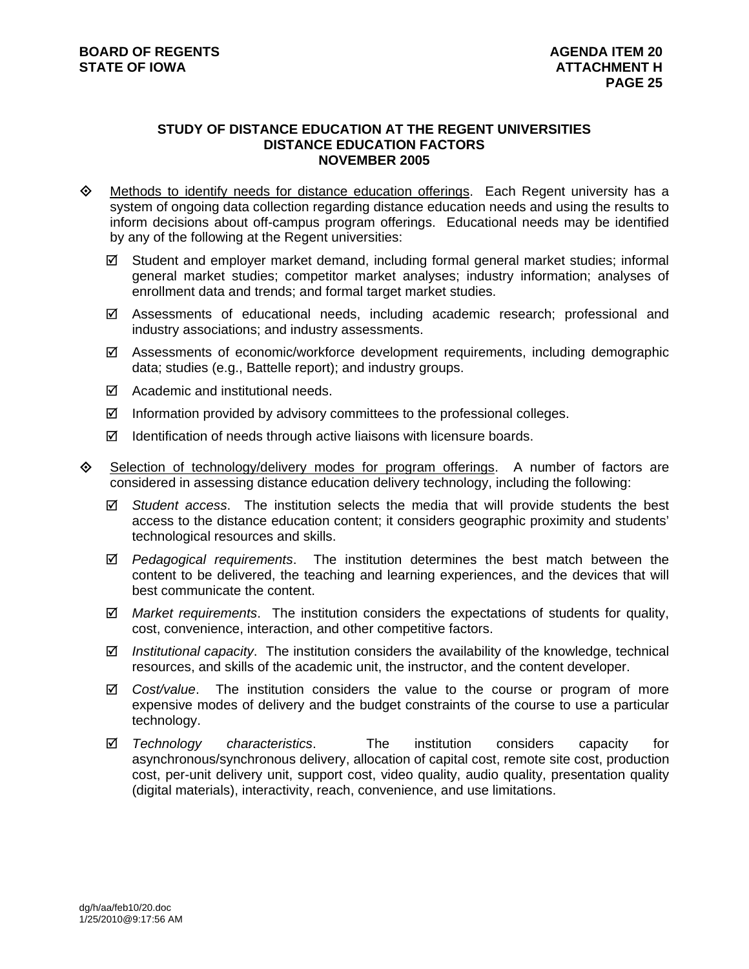#### **STUDY OF DISTANCE EDUCATION AT THE REGENT UNIVERSITIES DISTANCE EDUCATION FACTORS NOVEMBER 2005**

- $\Diamond$  Methods to identify needs for distance education offerings. Each Regent university has a system of ongoing data collection regarding distance education needs and using the results to inform decisions about off-campus program offerings. Educational needs may be identified by any of the following at the Regent universities:
	- $\boxtimes$  Student and employer market demand, including formal general market studies; informal general market studies; competitor market analyses; industry information; analyses of enrollment data and trends; and formal target market studies.
	- $\boxtimes$  Assessments of educational needs, including academic research; professional and industry associations; and industry assessments.
	- $\boxtimes$  Assessments of economic/workforce development requirements, including demographic data; studies (e.g., Battelle report); and industry groups.
	- $\boxtimes$  Academic and institutional needs.
	- $\boxtimes$  Information provided by advisory committees to the professional colleges.
	- $\boxtimes$  Identification of needs through active liaisons with licensure boards.
- $\diamondsuit$  Selection of technology/delivery modes for program offerings. A number of factors are considered in assessing distance education delivery technology, including the following:
	- 5 *Student access*. The institution selects the media that will provide students the best access to the distance education content; it considers geographic proximity and students' technological resources and skills.
	- 5 *Pedagogical requirements*. The institution determines the best match between the content to be delivered, the teaching and learning experiences, and the devices that will best communicate the content.
	- 5 *Market requirements*. The institution considers the expectations of students for quality, cost, convenience, interaction, and other competitive factors.
	- 5 *Institutional capacity*. The institution considers the availability of the knowledge, technical resources, and skills of the academic unit, the instructor, and the content developer.
	- 5 *Cost/value*. The institution considers the value to the course or program of more expensive modes of delivery and the budget constraints of the course to use a particular technology.
	- 5 *Technology characteristics*. The institution considers capacity for asynchronous/synchronous delivery, allocation of capital cost, remote site cost, production cost, per-unit delivery unit, support cost, video quality, audio quality, presentation quality (digital materials), interactivity, reach, convenience, and use limitations.